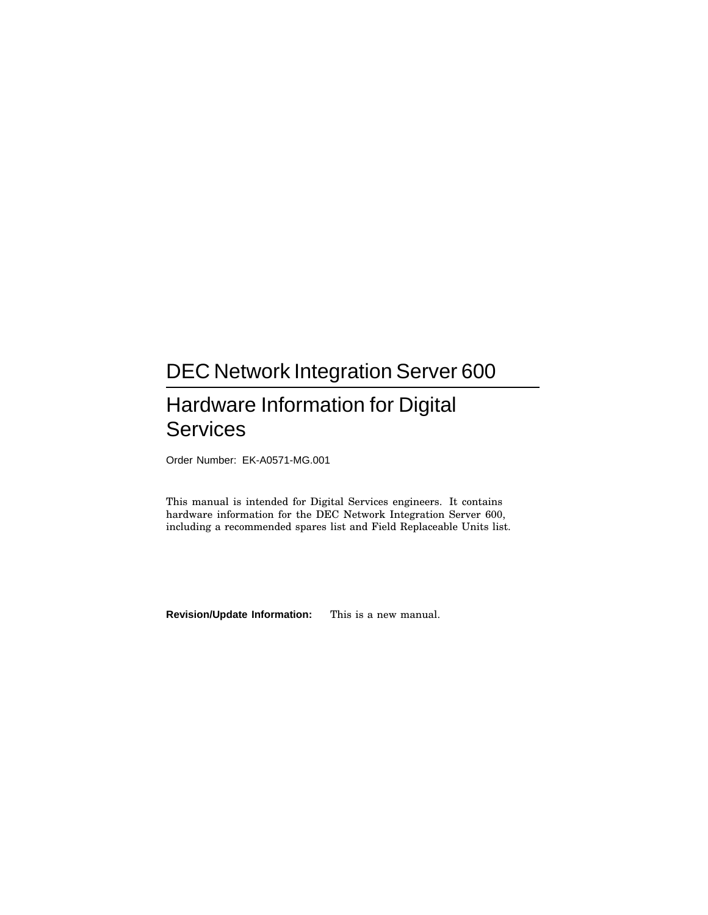# DEC Network Integration Server 600

# Hardware Information for Digital **Services**

Order Number: EK-A0571-MG.001

This manual is intended for Digital Services engineers. It contains hardware information for the DEC Network Integration Server 600, including a recommended spares list and Field Replaceable Units list.

**Revision/Update Information:** This is a new manual.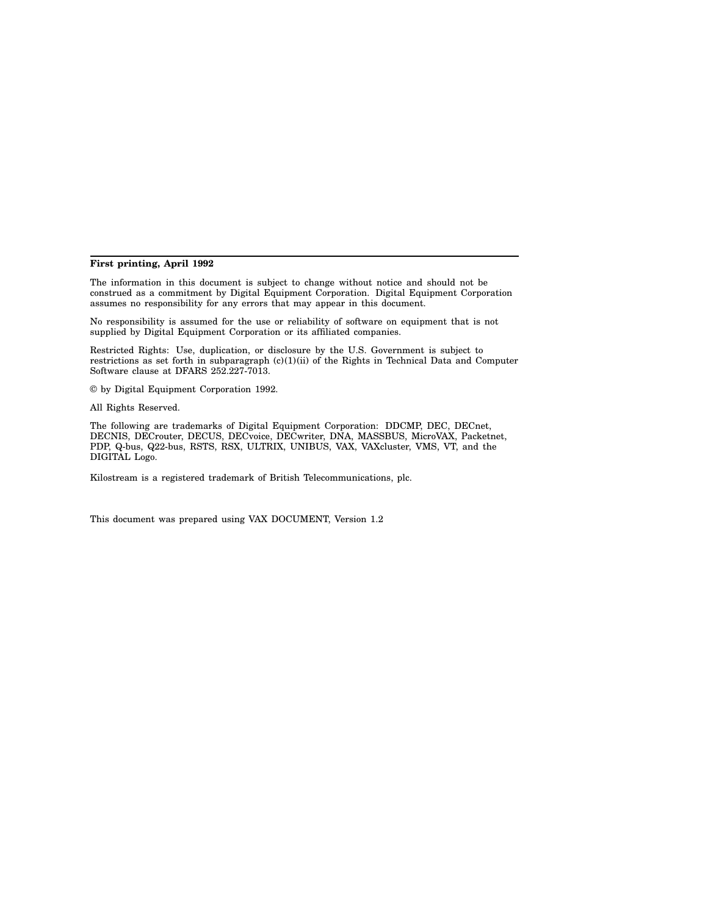#### **First printing, April 1992**

The information in this document is subject to change without notice and should not be construed as a commitment by Digital Equipment Corporation. Digital Equipment Corporation assumes no responsibility for any errors that may appear in this document.

No responsibility is assumed for the use or reliability of software on equipment that is not supplied by Digital Equipment Corporation or its affiliated companies.

Restricted Rights: Use, duplication, or disclosure by the U.S. Government is subject to restrictions as set forth in subparagraph (c)(1)(ii) of the Rights in Technical Data and Computer Software clause at DFARS 252.227-7013.

© by Digital Equipment Corporation 1992.

All Rights Reserved.

The following are trademarks of Digital Equipment Corporation: DDCMP, DEC, DECnet, DECNIS, DECrouter, DECUS, DECvoice, DECwriter, DNA, MASSBUS, MicroVAX, Packetnet, PDP, Q-bus, Q22-bus, RSTS, RSX, ULTRIX, UNIBUS, VAX, VAXcluster, VMS, VT, and the DIGITAL Logo.

Kilostream is a registered trademark of British Telecommunications, plc.

This document was prepared using VAX DOCUMENT, Version 1.2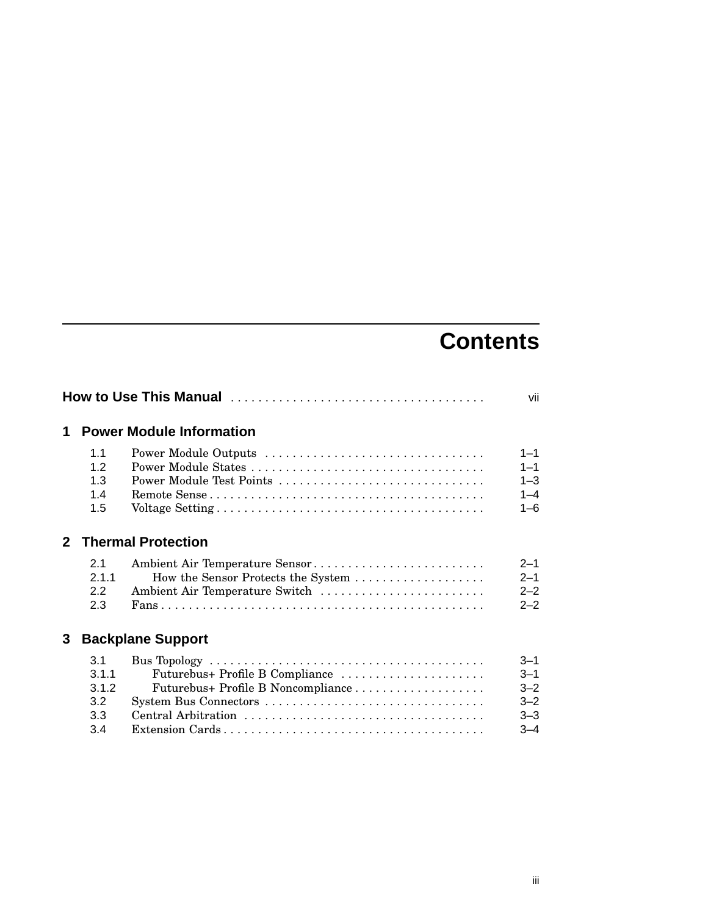# **Contents**

|              |                                            |                                                                                                        | vii                                                            |
|--------------|--------------------------------------------|--------------------------------------------------------------------------------------------------------|----------------------------------------------------------------|
| 1            |                                            | <b>Power Module Information</b>                                                                        |                                                                |
|              | 1.1<br>12<br>1.3<br>1.4<br>1.5             | Power Module Outputs<br>Power Module Test Points                                                       | $1 - 1$<br>$1 - 1$<br>$1 - 3$<br>$1 - 4$<br>$1 - 6$            |
| $\mathbf{2}$ |                                            | <b>Thermal Protection</b>                                                                              |                                                                |
|              | 21<br>2.1.1<br>2.2<br>2.3                  | Ambient Air Temperature Sensor<br>How the Sensor Protects the System<br>Ambient Air Temperature Switch | $2 - 1$<br>$2 - 1$<br>$2 - 2$<br>$2 - 2$                       |
| 3            |                                            | <b>Backplane Support</b>                                                                               |                                                                |
|              | 3.1<br>3.1.1<br>3.1.2<br>3.2<br>3.3<br>3.4 | Futurebus+ Profile B Compliance<br>System Bus Connectors                                               | $3 - 1$<br>$3 - 1$<br>$3 - 2$<br>$3 - 2$<br>$3 - 3$<br>$3 - 4$ |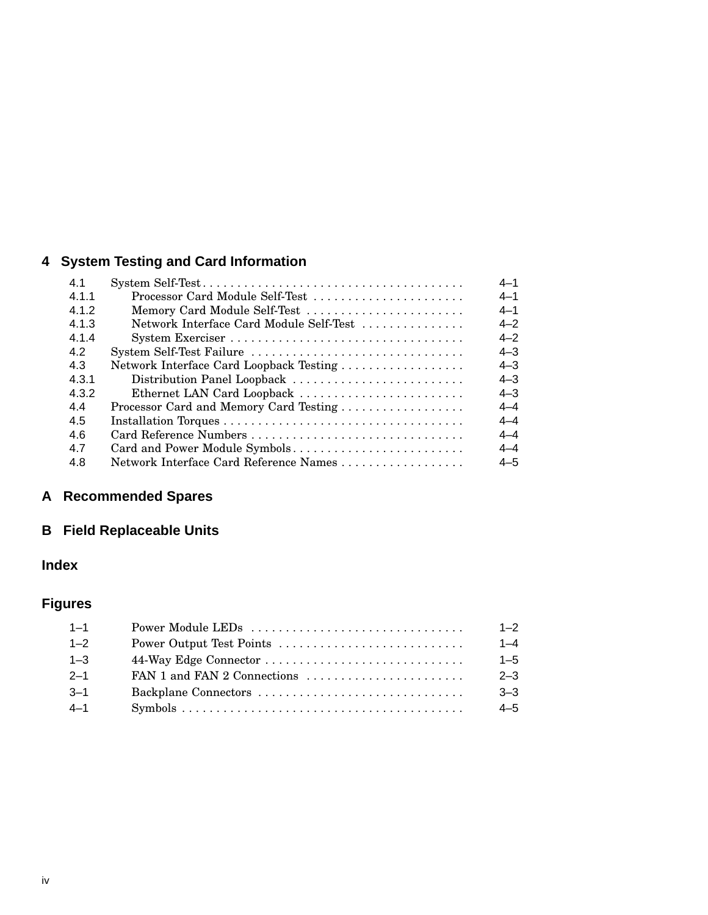# **4 System Testing and Card Information**

| 4.1   |                                         | $4 - 1$ |
|-------|-----------------------------------------|---------|
| 4.1.1 | Processor Card Module Self-Test         | $4 - 1$ |
| 4.1.2 | Memory Card Module Self-Test            | $4 - 1$ |
| 4.1.3 | Network Interface Card Module Self-Test | $4 - 2$ |
| 4.1.4 |                                         | $4 - 2$ |
| 4.2   | System Self-Test Failure                | $4 - 3$ |
| 4.3   | Network Interface Card Loopback Testing | $4 - 3$ |
| 4.3.1 | Distribution Panel Loopback             | $4 - 3$ |
| 4.3.2 | Ethernet LAN Card Loopback              | $4 - 3$ |
| 44    | Processor Card and Memory Card Testing  | $4 - 4$ |
| 4.5   |                                         | $4 - 4$ |
| 4.6   | Card Reference Numbers                  | $4 - 4$ |
| 4.7   | Card and Power Module Symbols           | $4 - 4$ |
| 4.8   | Network Interface Card Reference Names  | $4 - 5$ |

# **A Recommended Spares**

# **B Field Replaceable Units**

# **Index**

# **Figures**

| $1 - 1$ | Power Module LEDs           | $1 - 2$ |
|---------|-----------------------------|---------|
| $1 - 2$ | Power Output Test Points    | $1 - 4$ |
| $1 - 3$ |                             | $1 - 5$ |
| $2 - 1$ | FAN 1 and FAN 2 Connections | $2 - 3$ |
| $-3-1$  |                             | $3 - 3$ |
| $4 - 1$ |                             | $4 - 5$ |
|         |                             |         |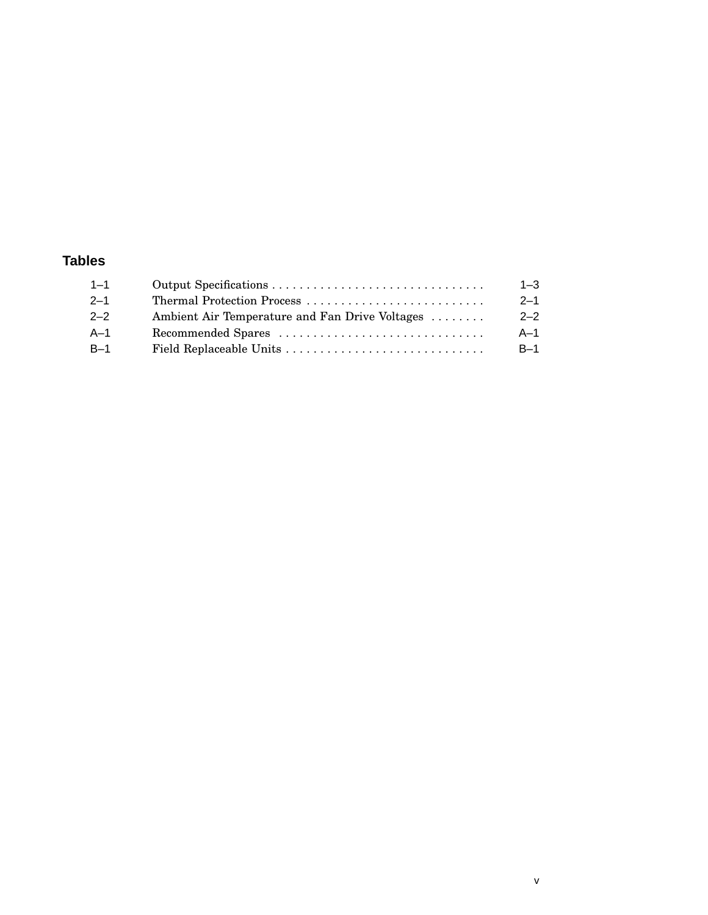# **Tables**

| $1 - 1$ |                                                | $1 - 3$ |
|---------|------------------------------------------------|---------|
| $2 - 1$ | Thermal Protection Process                     | $2 - 1$ |
| $2 - 2$ | Ambient Air Temperature and Fan Drive Voltages | $2 - 2$ |
| - A-1   | Recommended Spares                             | $A-1$   |
| $B-1$   |                                                | $B-1$   |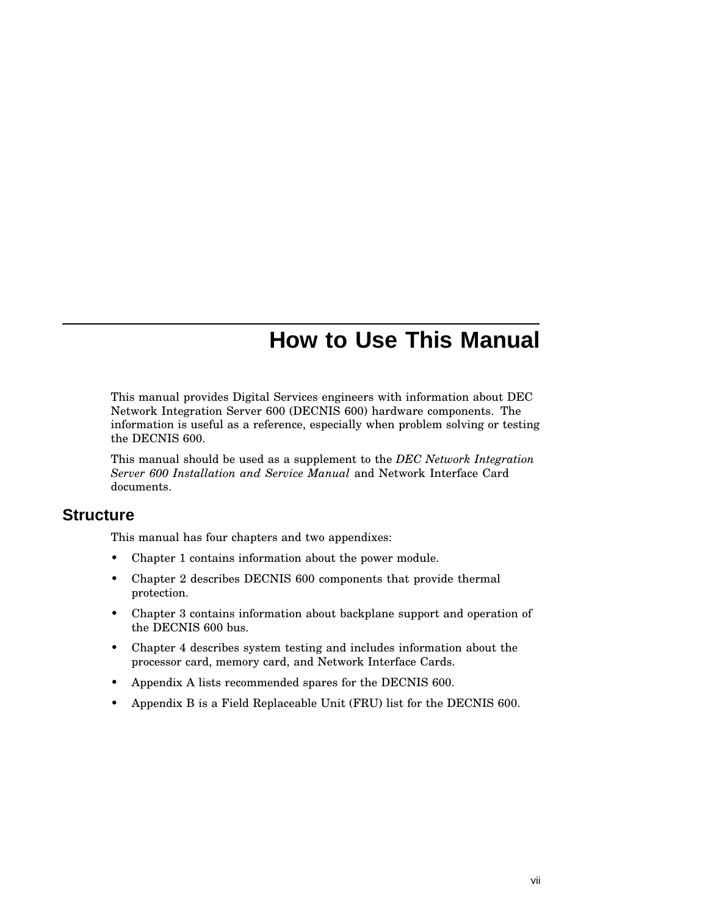# **How to Use This Manual**

This manual provides Digital Services engineers with information about DEC Network Integration Server 600 (DECNIS 600) hardware components. The information is useful as a reference, especially when problem solving or testing the DECNIS 600.

This manual should be used as a supplement to the *DEC Network Integration Server 600 Installation and Service Manual* and Network Interface Card documents.

### **Structure**

This manual has four chapters and two appendixes:

- Chapter 1 contains information about the power module.
- Chapter 2 describes DECNIS 600 components that provide thermal protection.
- Chapter 3 contains information about backplane support and operation of the DECNIS 600 bus.
- Chapter 4 describes system testing and includes information about the processor card, memory card, and Network Interface Cards.
- Appendix A lists recommended spares for the DECNIS 600.
- Appendix B is a Field Replaceable Unit (FRU) list for the DECNIS 600.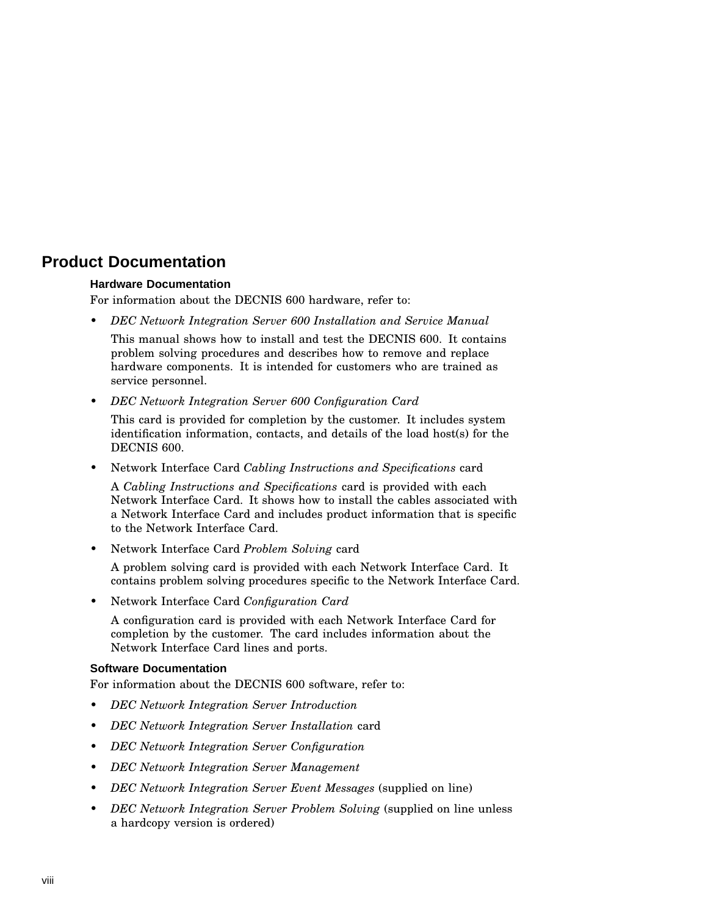# **Product Documentation**

#### **Hardware Documentation**

For information about the DECNIS 600 hardware, refer to:

- *DEC Network Integration Server 600 Installation and Service Manual* This manual shows how to install and test the DECNIS 600. It contains problem solving procedures and describes how to remove and replace hardware components. It is intended for customers who are trained as service personnel.
- *DEC Network Integration Server 600 Configuration Card*

This card is provided for completion by the customer. It includes system identification information, contacts, and details of the load host(s) for the DECNIS 600.

• Network Interface Card *Cabling Instructions and Specifications* card

A *Cabling Instructions and Specifications* card is provided with each Network Interface Card. It shows how to install the cables associated with a Network Interface Card and includes product information that is specific to the Network Interface Card.

• Network Interface Card *Problem Solving* card

A problem solving card is provided with each Network Interface Card. It contains problem solving procedures specific to the Network Interface Card.

• Network Interface Card *Configuration Card*

A configuration card is provided with each Network Interface Card for completion by the customer. The card includes information about the Network Interface Card lines and ports.

#### **Software Documentation**

For information about the DECNIS 600 software, refer to:

- *DEC Network Integration Server Introduction*
- *DEC Network Integration Server Installation* card
- *DEC Network Integration Server Configuration*
- *DEC Network Integration Server Management*
- *DEC Network Integration Server Event Messages* (supplied on line)
- *DEC Network Integration Server Problem Solving* (supplied on line unless a hardcopy version is ordered)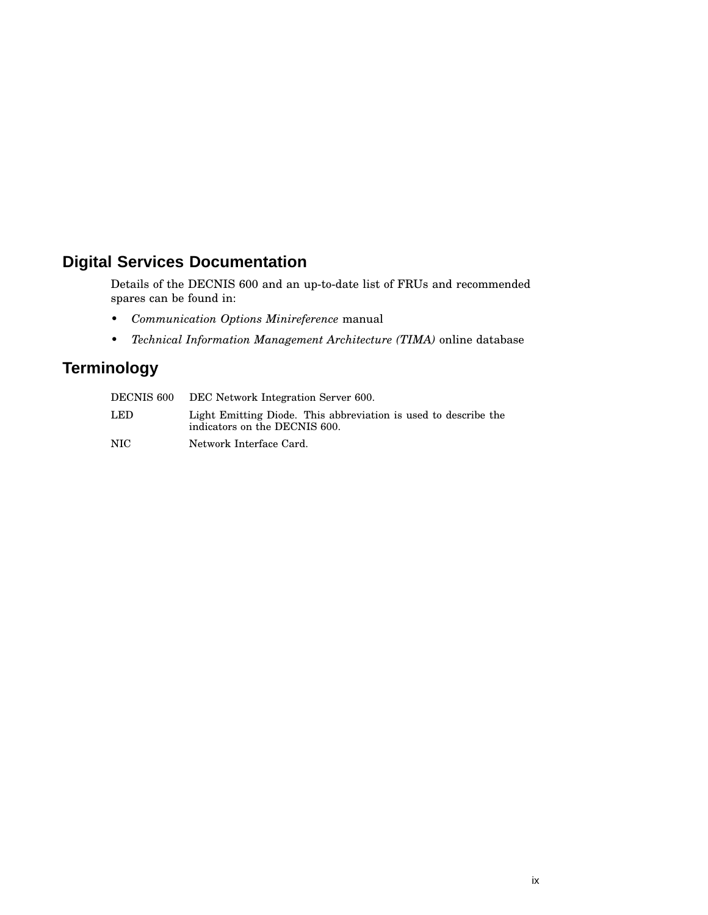# **Digital Services Documentation**

Details of the DECNIS 600 and an up-to-date list of FRUs and recommended spares can be found in:

- *Communication Options Minireference* manual
- *Technical Information Management Architecture (TIMA)* online database

# **Terminology**

| DECNIS 600 | DEC Network Integration Server 600.                                                              |
|------------|--------------------------------------------------------------------------------------------------|
| LED.       | Light Emitting Diode. This abbreviation is used to describe the<br>indicators on the DECNIS 600. |
| NIC.       | Network Interface Card.                                                                          |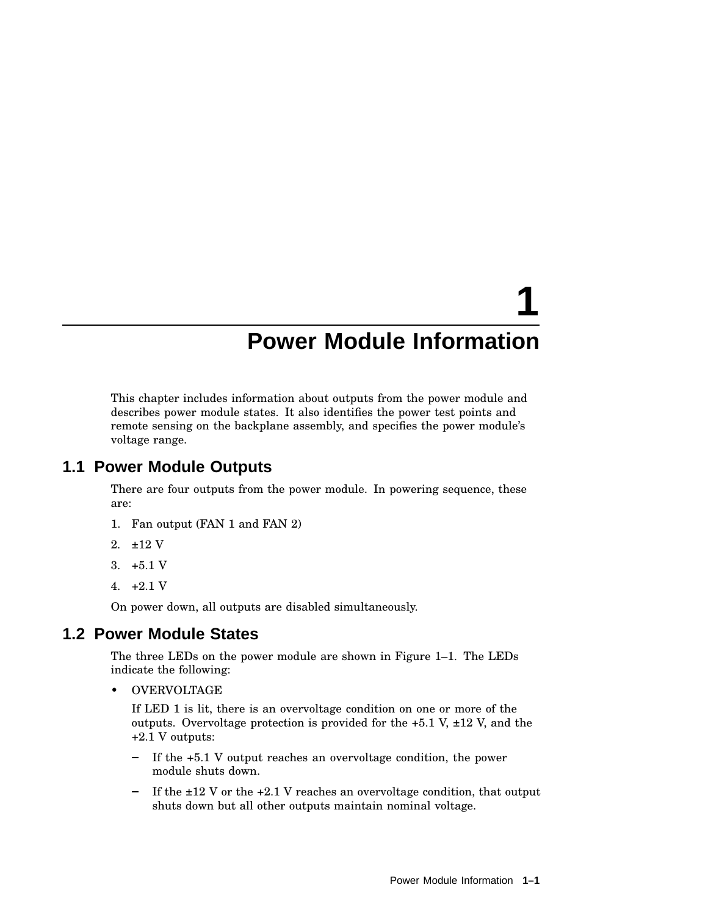# **1 Power Module Information**

This chapter includes information about outputs from the power module and describes power module states. It also identifies the power test points and remote sensing on the backplane assembly, and specifies the power module's voltage range.

## **1.1 Power Module Outputs**

There are four outputs from the power module. In powering sequence, these are:

- 1. Fan output (FAN 1 and FAN 2)
- 2. ±12 V
- 3.  $+5.1$  V
- 4.  $+2.1$  V

On power down, all outputs are disabled simultaneously.

## **1.2 Power Module States**

The three LEDs on the power module are shown in Figure 1–1. The LEDs indicate the following:

• OVERVOLTAGE

If LED 1 is lit, there is an overvoltage condition on one or more of the outputs. Overvoltage protection is provided for the  $+5.1$  V,  $\pm 12$  V, and the +2.1 V outputs:

- If the +5.1 V output reaches an overvoltage condition, the power  $\qquad \qquad$ module shuts down.
- If the  $\pm 12$  V or the  $\pm 2.1$  V reaches an overvoltage condition, that output shuts down but all other outputs maintain nominal voltage.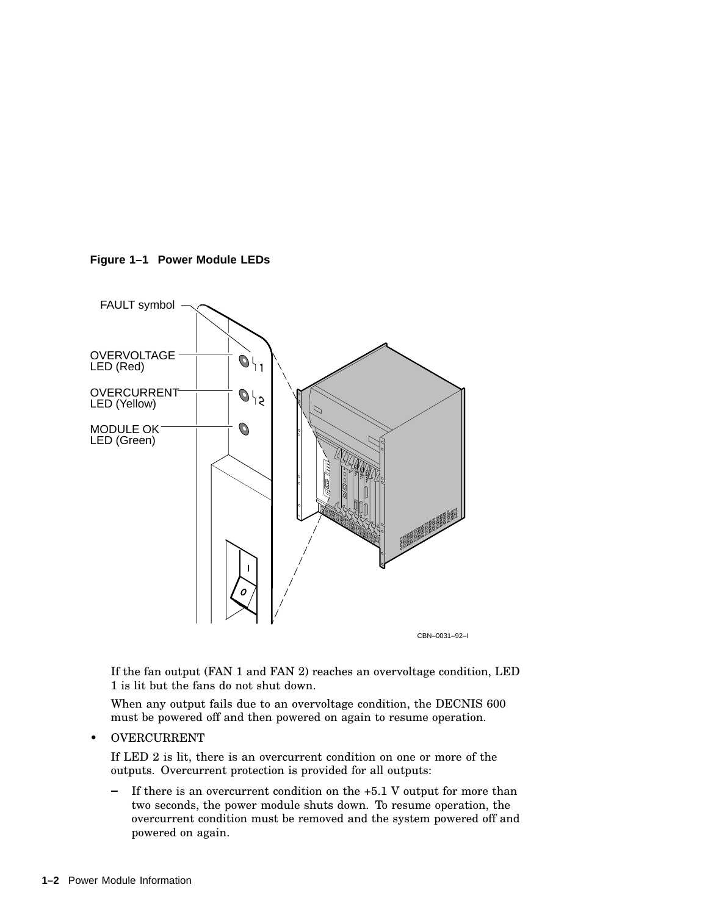

**Figure 1–1 Power Module LEDs**

CBN–0031–92–I

If the fan output (FAN 1 and FAN 2) reaches an overvoltage condition, LED 1 is lit but the fans do not shut down.

When any output fails due to an overvoltage condition, the DECNIS 600 must be powered off and then powered on again to resume operation.

• OVERCURRENT

If LED 2 is lit, there is an overcurrent condition on one or more of the outputs. Overcurrent protection is provided for all outputs:

 $\blacksquare$ If there is an overcurrent condition on the +5.1 V output for more than two seconds, the power module shuts down. To resume operation, the overcurrent condition must be removed and the system powered off and powered on again.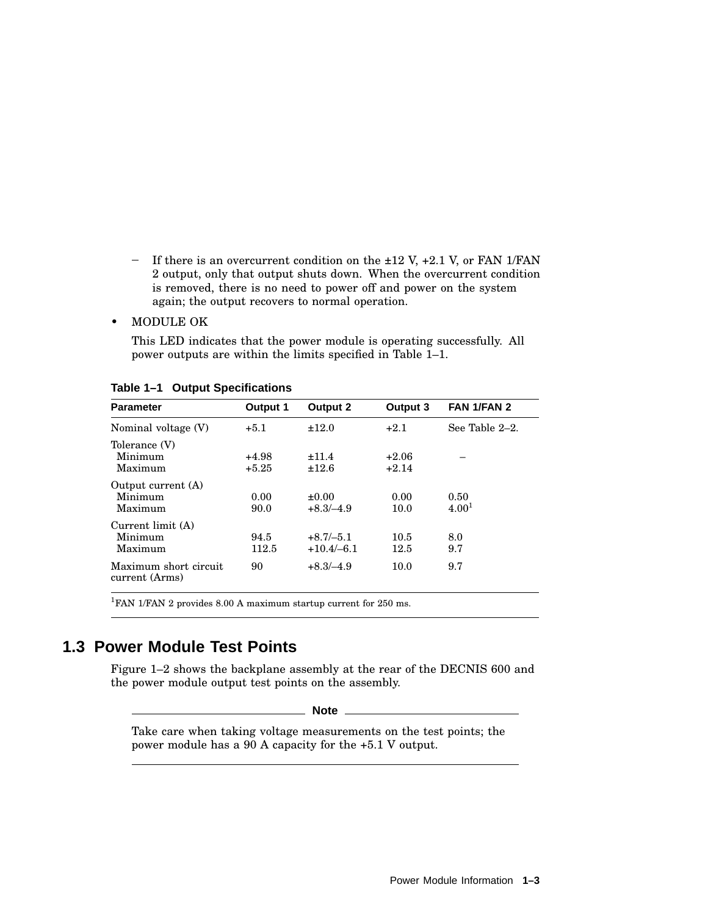- If there is an overcurrent condition on the  $\pm 12$  V,  $\pm 2.1$  V, or FAN 1/FAN 2 output, only that output shuts down. When the overcurrent condition is removed, there is no need to power off and power on the system again; the output recovers to normal operation.

#### • MODULE OK

This LED indicates that the power module is operating successfully. All power outputs are within the limits specified in Table 1–1.

| <b>Parameter</b>                         | Output 1           | Output 2                    | Output 3           | FAN 1/FAN 2               |
|------------------------------------------|--------------------|-----------------------------|--------------------|---------------------------|
| Nominal voltage (V)                      | $+5.1$             | ±12.0                       | $+2.1$             | See Table $2-2$ .         |
| Tolerance (V)<br>Minimum<br>Maximum      | $+4.98$<br>$+5.25$ | ±11.4<br>±12.6              | $+2.06$<br>$+2.14$ |                           |
| Output current (A)<br>Minimum<br>Maximum | 0.00<br>90.0       | $+0.00$<br>$+8.3/-4.9$      | 0.00<br>10.0       | 0.50<br>4.00 <sup>1</sup> |
| Current limit (A)<br>Minimum<br>Maximum  | 94.5<br>112.5      | $+8.7/-5.1$<br>$+10.4/-6.1$ | 10.5<br>12.5       | 8.0<br>9.7                |
| Maximum short circuit<br>current (Arms)  | 90                 | $+8.3/-4.9$                 | 10.0               | 9.7                       |

**Table 1–1 Output Specifications**

<sup>1</sup>FAN 1/FAN 2 provides 8.00 A maximum startup current for 250 ms.

# **1.3 Power Module Test Points**

Figure 1–2 shows the backplane assembly at the rear of the DECNIS 600 and the power module output test points on the assembly.

**Note**

Take care when taking voltage measurements on the test points; the power module has a 90 A capacity for the +5.1 V output.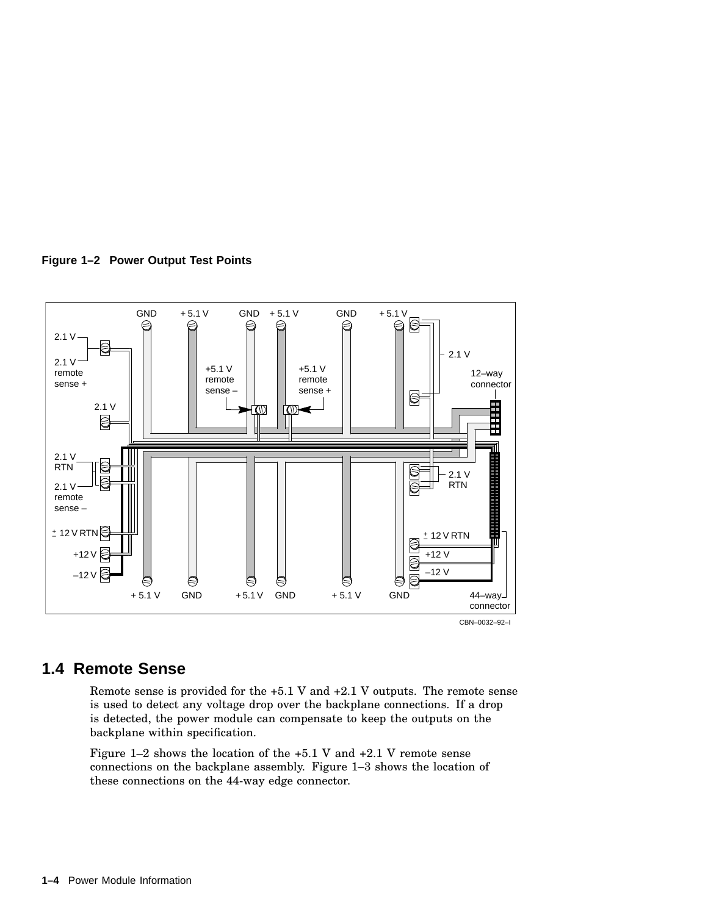



### **1.4 Remote Sense**

Remote sense is provided for the +5.1 V and +2.1 V outputs. The remote sense is used to detect any voltage drop over the backplane connections. If a drop is detected, the power module can compensate to keep the outputs on the backplane within specification.

Figure 1–2 shows the location of the +5.1 V and +2.1 V remote sense connections on the backplane assembly. Figure 1–3 shows the location of these connections on the 44-way edge connector.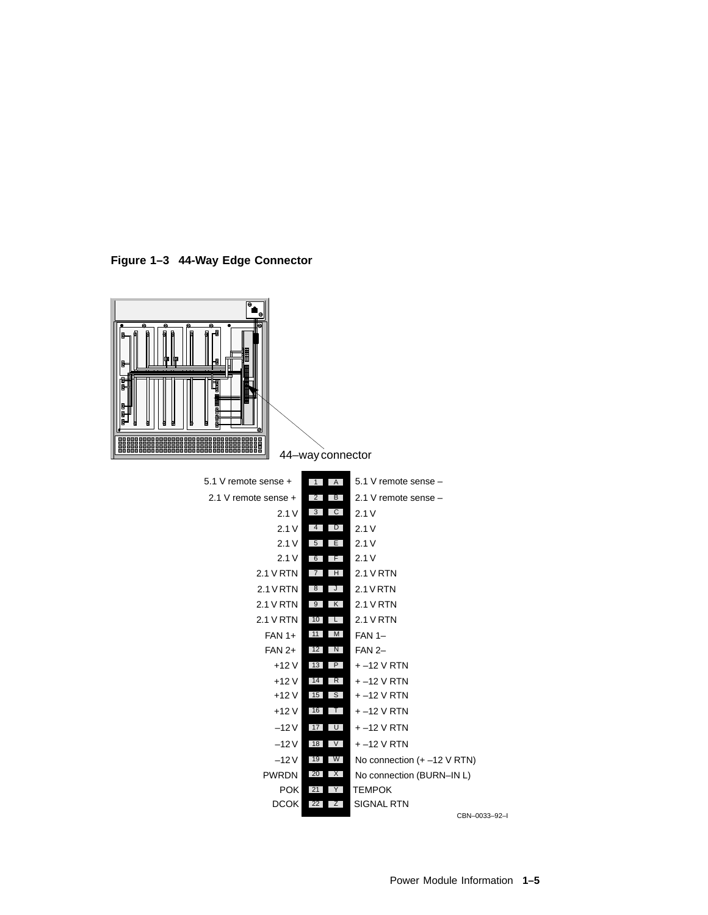



CBN–0033–92–I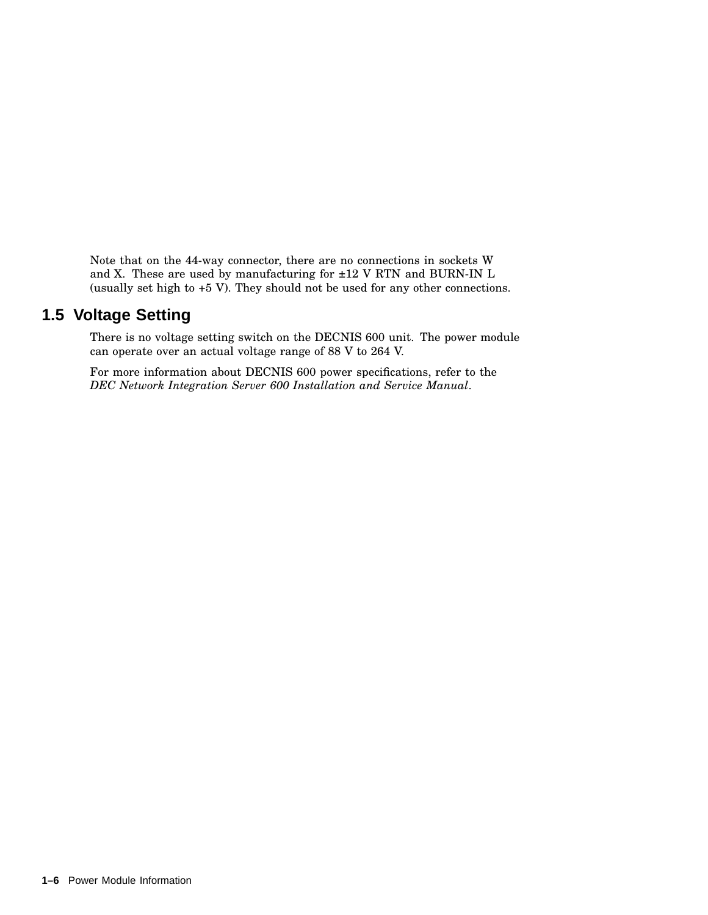Note that on the 44-way connector, there are no connections in sockets W and X. These are used by manufacturing for ±12 V RTN and BURN-IN L (usually set high to +5 V). They should not be used for any other connections.

# **1.5 Voltage Setting**

There is no voltage setting switch on the DECNIS 600 unit. The power module can operate over an actual voltage range of 88 V to 264 V.

For more information about DECNIS 600 power specifications, refer to the *DEC Network Integration Server 600 Installation and Service Manual*.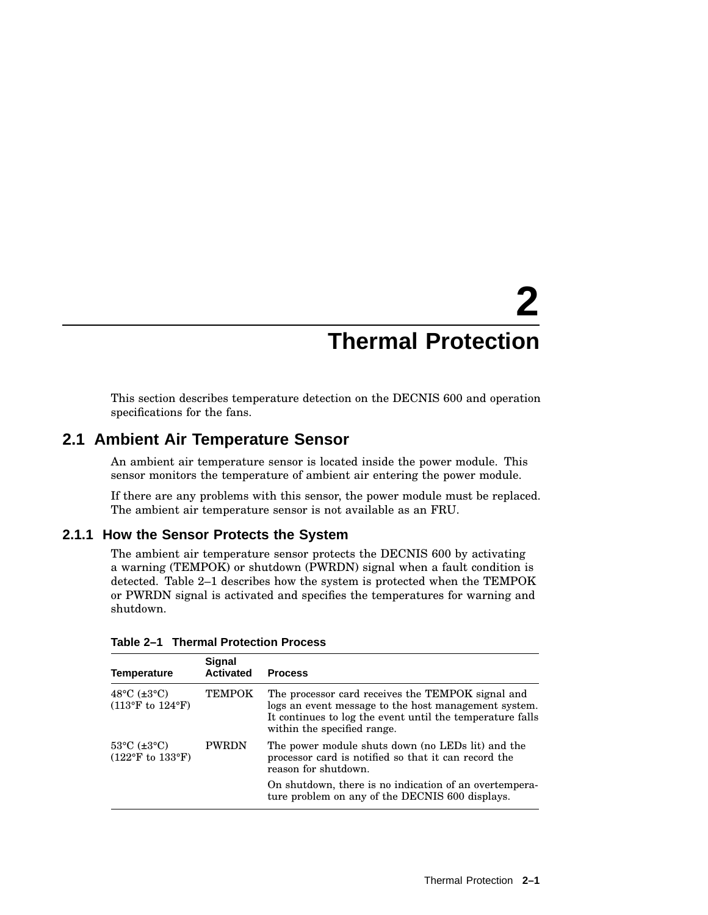# **2 Thermal Protection**

This section describes temperature detection on the DECNIS 600 and operation specifications for the fans.

## **2.1 Ambient Air Temperature Sensor**

An ambient air temperature sensor is located inside the power module. This sensor monitors the temperature of ambient air entering the power module.

If there are any problems with this sensor, the power module must be replaced. The ambient air temperature sensor is not available as an FRU.

#### **2.1.1 How the Sensor Protects the System**

The ambient air temperature sensor protects the DECNIS 600 by activating a warning (TEMPOK) or shutdown (PWRDN) signal when a fault condition is detected. Table 2–1 describes how the system is protected when the TEMPOK or PWRDN signal is activated and specifies the temperatures for warning and shutdown.

| <b>Temperature</b>                                                                               | Signal<br><b>Activated</b> | <b>Process</b>                                                                                                                                                                                        |
|--------------------------------------------------------------------------------------------------|----------------------------|-------------------------------------------------------------------------------------------------------------------------------------------------------------------------------------------------------|
| 48°C $(\pm 3$ °C)<br>$(113^{\circ}F \text{ to } 124^{\circ}F)$                                   | <b>TEMPOK</b>              | The processor card receives the TEMPOK signal and<br>logs an event message to the host management system.<br>It continues to log the event until the temperature falls<br>within the specified range. |
| $53^{\circ}$ C ( $\pm 3^{\circ}$ C)<br><b>PWRDN</b><br>$(122^{\circ}F \text{ to } 133^{\circ}F)$ |                            | The power module shuts down (no LEDs lit) and the<br>processor card is notified so that it can record the<br>reason for shutdown.                                                                     |
|                                                                                                  |                            | On shutdown, there is no indication of an overtempera-<br>ture problem on any of the DECNIS 600 displays.                                                                                             |

**Table 2–1 Thermal Protection Process**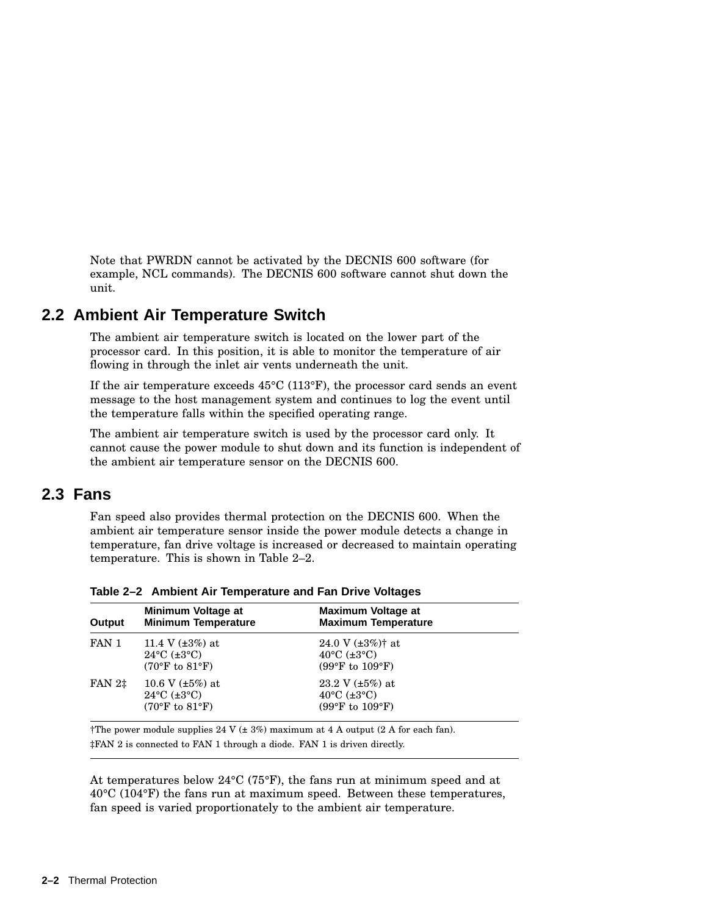Note that PWRDN cannot be activated by the DECNIS 600 software (for example, NCL commands). The DECNIS 600 software cannot shut down the unit.

## **2.2 Ambient Air Temperature Switch**

The ambient air temperature switch is located on the lower part of the processor card. In this position, it is able to monitor the temperature of air flowing in through the inlet air vents underneath the unit.

If the air temperature exceeds 45°C (113°F), the processor card sends an event message to the host management system and continues to log the event until the temperature falls within the specified operating range.

The ambient air temperature switch is used by the processor card only. It cannot cause the power module to shut down and its function is independent of the ambient air temperature sensor on the DECNIS 600.

## **2.3 Fans**

Fan speed also provides thermal protection on the DECNIS 600. When the ambient air temperature sensor inside the power module detects a change in temperature, fan drive voltage is increased or decreased to maintain operating temperature. This is shown in Table 2–2.

| Output             | Minimum Voltage at<br><b>Minimum Temperature</b>                                                   | Maximum Voltage at<br><b>Maximum Temperature</b>                                                                      |  |
|--------------------|----------------------------------------------------------------------------------------------------|-----------------------------------------------------------------------------------------------------------------------|--|
| FAN 1              | 11.4 V $(\pm 3\%)$ at<br>$24^{\circ}$ C ( $\pm 3^{\circ}$ C)<br>$(70^{\circ}$ F to $81^{\circ}$ F) | 24.0 V $(\pm 3\%)$ <sup>†</sup> at<br>$40^{\circ}$ C ( $\pm 3^{\circ}$ C)<br>$(99^{\circ}F \text{ to } 109^{\circ}F)$ |  |
| FAN 2 <sup>‡</sup> | 10.6 V $(\pm 5\%)$ at<br>$24^{\circ}$ C ( $\pm 3^{\circ}$ C)<br>$(70^{\circ}$ F to $81^{\circ}$ F) | 23.2 V $(\pm 5\%)$ at<br>$40^{\circ}$ C ( $\pm 3^{\circ}$ C)<br>$(99^{\circ}F \text{ to } 109^{\circ}F)$              |  |

**Table 2–2 Ambient Air Temperature and Fan Drive Voltages**

†The power module supplies 24 V (± 3%) maximum at 4 A output (2 A for each fan). ‡FAN 2 is connected to FAN 1 through a diode. FAN 1 is driven directly.

At temperatures below 24°C (75°F), the fans run at minimum speed and at 40°C (104°F) the fans run at maximum speed. Between these temperatures, fan speed is varied proportionately to the ambient air temperature.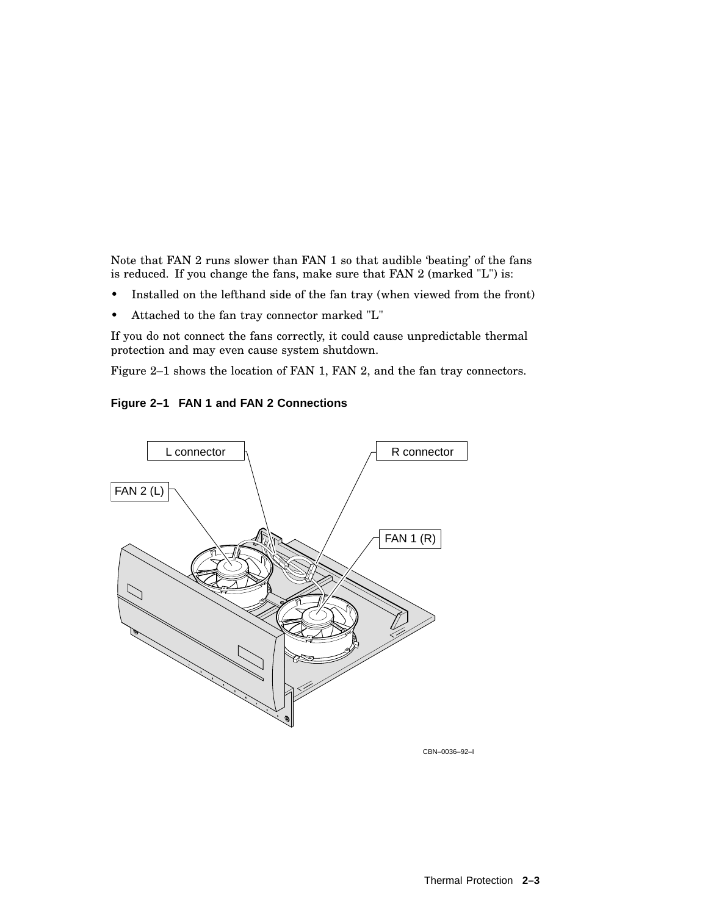Note that FAN 2 runs slower than FAN 1 so that audible 'beating' of the fans is reduced. If you change the fans, make sure that FAN 2 (marked "L") is:

- Installed on the lefthand side of the fan tray (when viewed from the front)
- Attached to the fan tray connector marked "L"

If you do not connect the fans correctly, it could cause unpredictable thermal protection and may even cause system shutdown.

Figure 2–1 shows the location of FAN 1, FAN 2, and the fan tray connectors.

**Figure 2–1 FAN 1 and FAN 2 Connections**



CBN–0036–92–I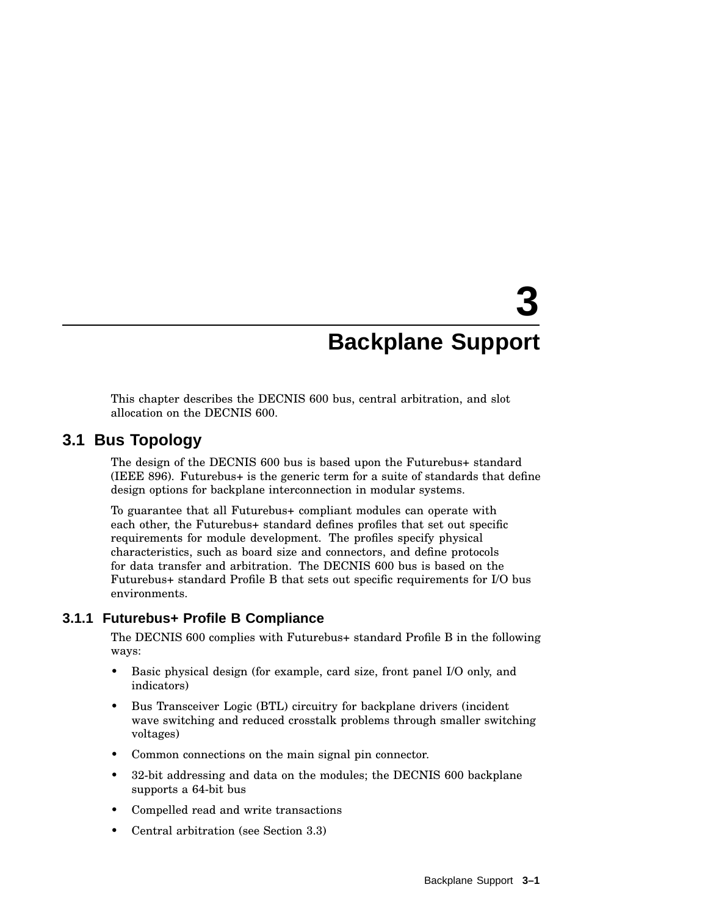# **3 Backplane Support**

This chapter describes the DECNIS 600 bus, central arbitration, and slot allocation on the DECNIS 600.

# **3.1 Bus Topology**

The design of the DECNIS 600 bus is based upon the Futurebus+ standard (IEEE 896). Futurebus+ is the generic term for a suite of standards that define design options for backplane interconnection in modular systems.

To guarantee that all Futurebus+ compliant modules can operate with each other, the Futurebus+ standard defines profiles that set out specific requirements for module development. The profiles specify physical characteristics, such as board size and connectors, and define protocols for data transfer and arbitration. The DECNIS 600 bus is based on the Futurebus+ standard Profile B that sets out specific requirements for I/O bus environments.

### **3.1.1 Futurebus+ Profile B Compliance**

The DECNIS 600 complies with Futurebus+ standard Profile B in the following ways:

- Basic physical design (for example, card size, front panel I/O only, and indicators)
- Bus Transceiver Logic (BTL) circuitry for backplane drivers (incident wave switching and reduced crosstalk problems through smaller switching voltages)
- Common connections on the main signal pin connector.
- 32-bit addressing and data on the modules; the DECNIS 600 backplane supports a 64-bit bus
- Compelled read and write transactions
- Central arbitration (see Section 3.3)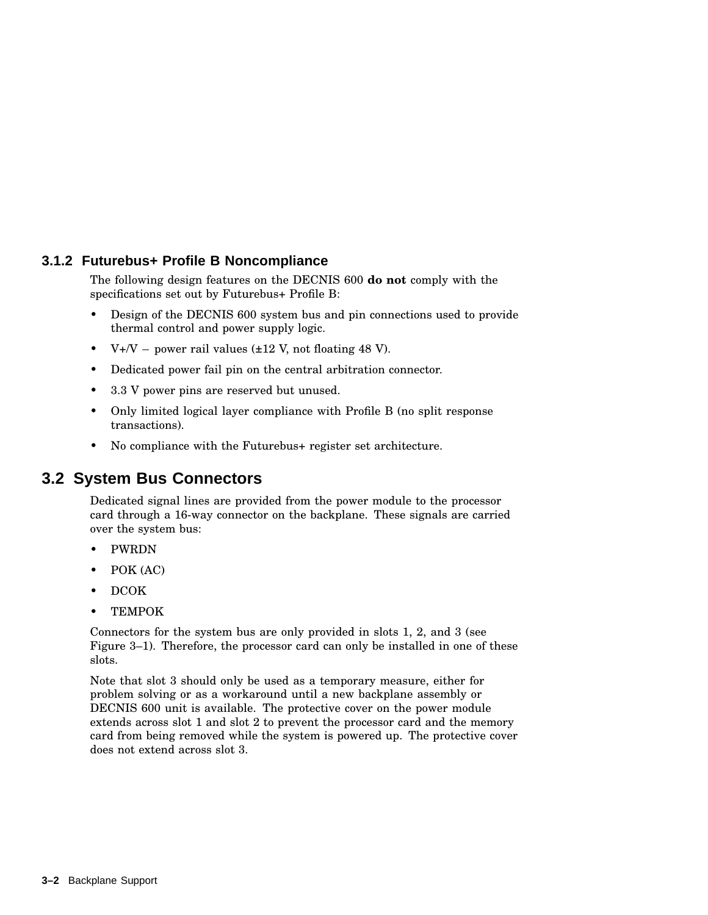#### **3.1.2 Futurebus+ Profile B Noncompliance**

The following design features on the DECNIS 600 **do not** comply with the specifications set out by Futurebus+ Profile B:

- Design of the DECNIS 600 system bus and pin connections used to provide thermal control and power supply logic.
- $V+V$  power rail values ( $\pm 12$  V, not floating 48 V).
- Dedicated power fail pin on the central arbitration connector.
- 3.3 V power pins are reserved but unused.
- Only limited logical layer compliance with Profile B (no split response transactions).
- No compliance with the Futurebus+ register set architecture.

## **3.2 System Bus Connectors**

Dedicated signal lines are provided from the power module to the processor card through a 16-way connector on the backplane. These signals are carried over the system bus:

- PWRDN
- POK (AC)
- DCOK
- TEMPOK

Connectors for the system bus are only provided in slots 1, 2, and 3 (see Figure 3–1). Therefore, the processor card can only be installed in one of these slots.

Note that slot 3 should only be used as a temporary measure, either for problem solving or as a workaround until a new backplane assembly or DECNIS 600 unit is available. The protective cover on the power module extends across slot 1 and slot 2 to prevent the processor card and the memory card from being removed while the system is powered up. The protective cover does not extend across slot 3.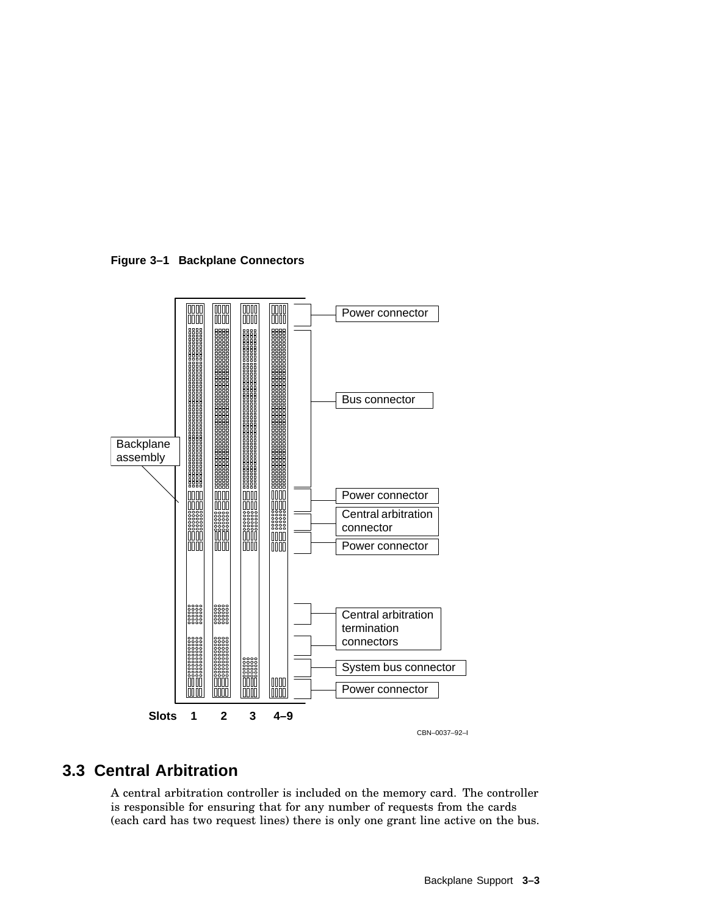**Figure 3–1 Backplane Connectors**



# **3.3 Central Arbitration**

A central arbitration controller is included on the memory card. The controller is responsible for ensuring that for any number of requests from the cards (each card has two request lines) there is only one grant line active on the bus.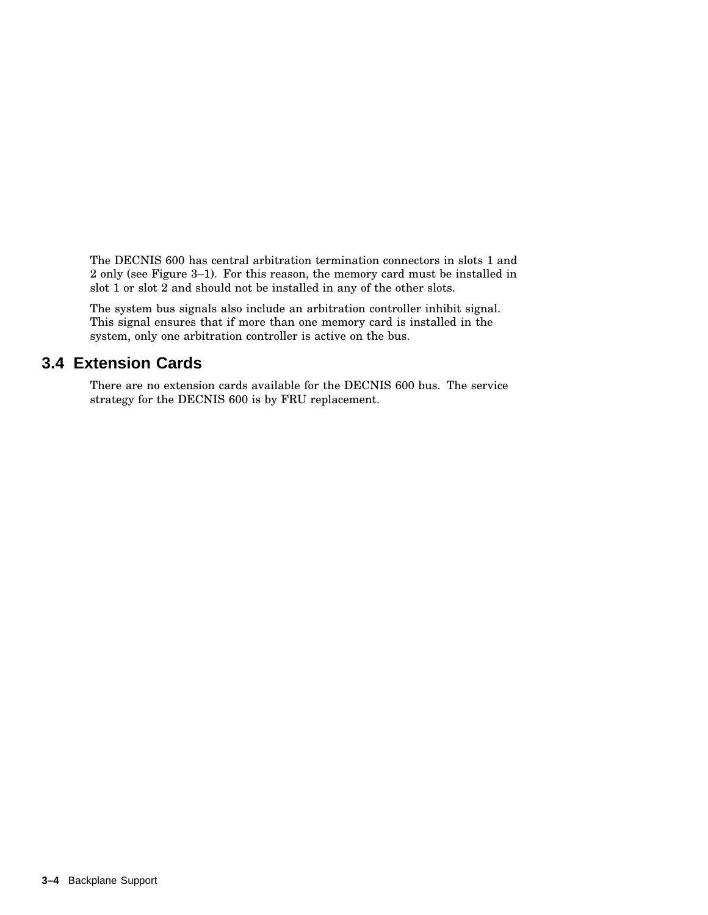The DECNIS 600 has central arbitration termination connectors in slots 1 and 2 only (see Figure 3–1). For this reason, the memory card must be installed in slot 1 or slot 2 and should not be installed in any of the other slots.

The system bus signals also include an arbitration controller inhibit signal. This signal ensures that if more than one memory card is installed in the system, only one arbitration controller is active on the bus.

# **3.4 Extension Cards**

There are no extension cards available for the DECNIS 600 bus. The service strategy for the DECNIS 600 is by FRU replacement.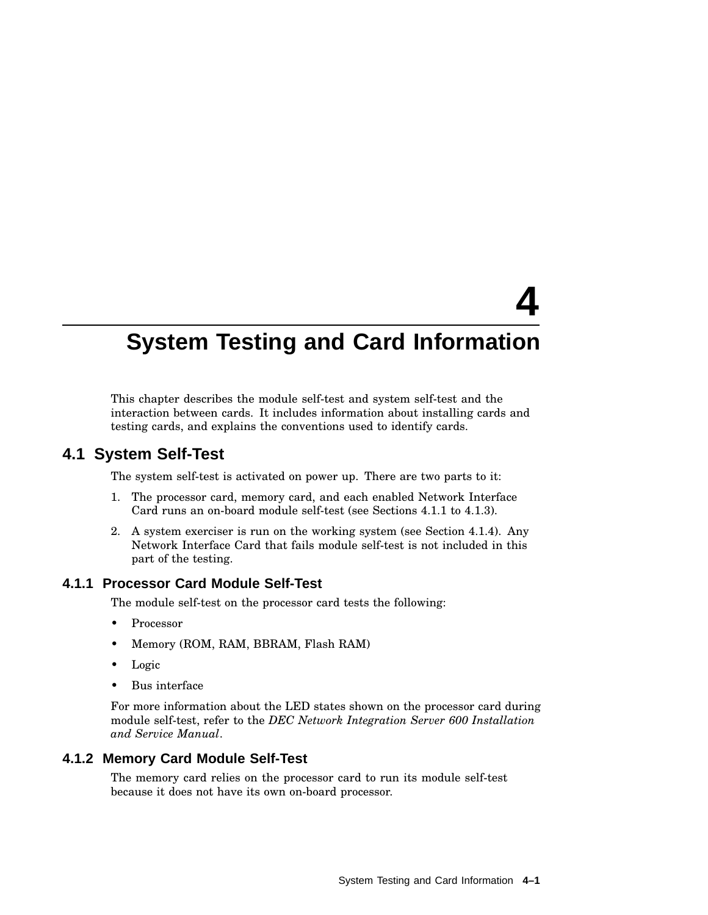# **4**

# **System Testing and Card Information**

This chapter describes the module self-test and system self-test and the interaction between cards. It includes information about installing cards and testing cards, and explains the conventions used to identify cards.

### **4.1 System Self-Test**

The system self-test is activated on power up. There are two parts to it:

- 1. The processor card, memory card, and each enabled Network Interface Card runs an on-board module self-test (see Sections 4.1.1 to 4.1.3).
- 2. A system exerciser is run on the working system (see Section 4.1.4). Any Network Interface Card that fails module self-test is not included in this part of the testing.

#### **4.1.1 Processor Card Module Self-Test**

The module self-test on the processor card tests the following:

- **Processor**
- Memory (ROM, RAM, BBRAM, Flash RAM)
- Logic
- Bus interface

For more information about the LED states shown on the processor card during module self-test, refer to the *DEC Network Integration Server 600 Installation and Service Manual*.

#### **4.1.2 Memory Card Module Self-Test**

The memory card relies on the processor card to run its module self-test because it does not have its own on-board processor.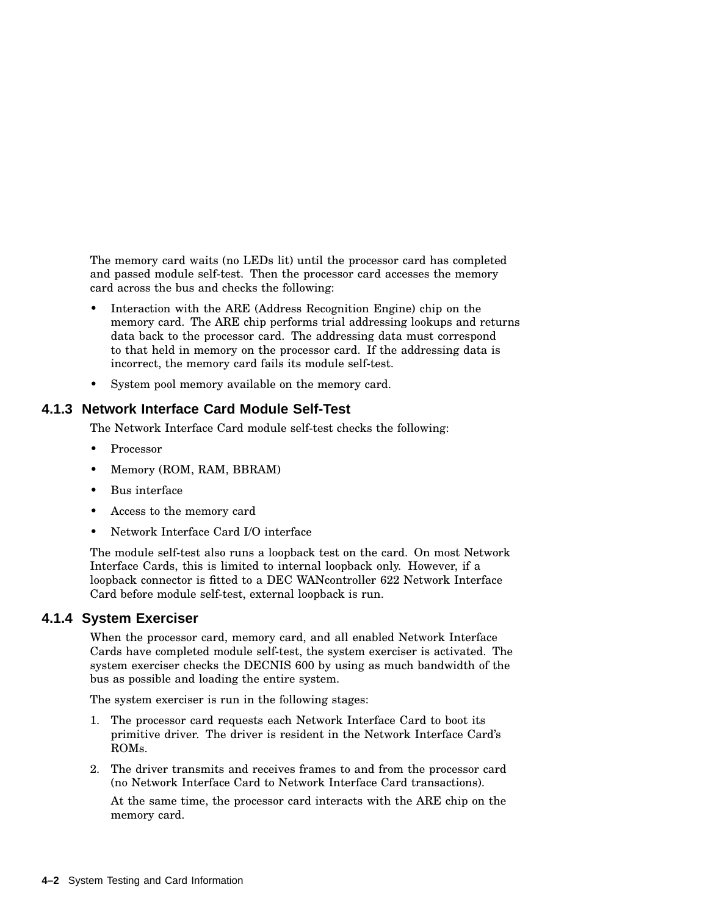The memory card waits (no LEDs lit) until the processor card has completed and passed module self-test. Then the processor card accesses the memory card across the bus and checks the following:

- Interaction with the ARE (Address Recognition Engine) chip on the memory card. The ARE chip performs trial addressing lookups and returns data back to the processor card. The addressing data must correspond to that held in memory on the processor card. If the addressing data is incorrect, the memory card fails its module self-test.
- System pool memory available on the memory card.

#### **4.1.3 Network Interface Card Module Self-Test**

The Network Interface Card module self-test checks the following:

- Processor
- Memory (ROM, RAM, BBRAM)
- Bus interface
- Access to the memory card
- Network Interface Card I/O interface

The module self-test also runs a loopback test on the card. On most Network Interface Cards, this is limited to internal loopback only. However, if a loopback connector is fitted to a DEC WANcontroller 622 Network Interface Card before module self-test, external loopback is run.

#### **4.1.4 System Exerciser**

When the processor card, memory card, and all enabled Network Interface Cards have completed module self-test, the system exerciser is activated. The system exerciser checks the DECNIS 600 by using as much bandwidth of the bus as possible and loading the entire system.

The system exerciser is run in the following stages:

- 1. The processor card requests each Network Interface Card to boot its primitive driver. The driver is resident in the Network Interface Card's ROMs.
- 2. The driver transmits and receives frames to and from the processor card (no Network Interface Card to Network Interface Card transactions).

At the same time, the processor card interacts with the ARE chip on the memory card.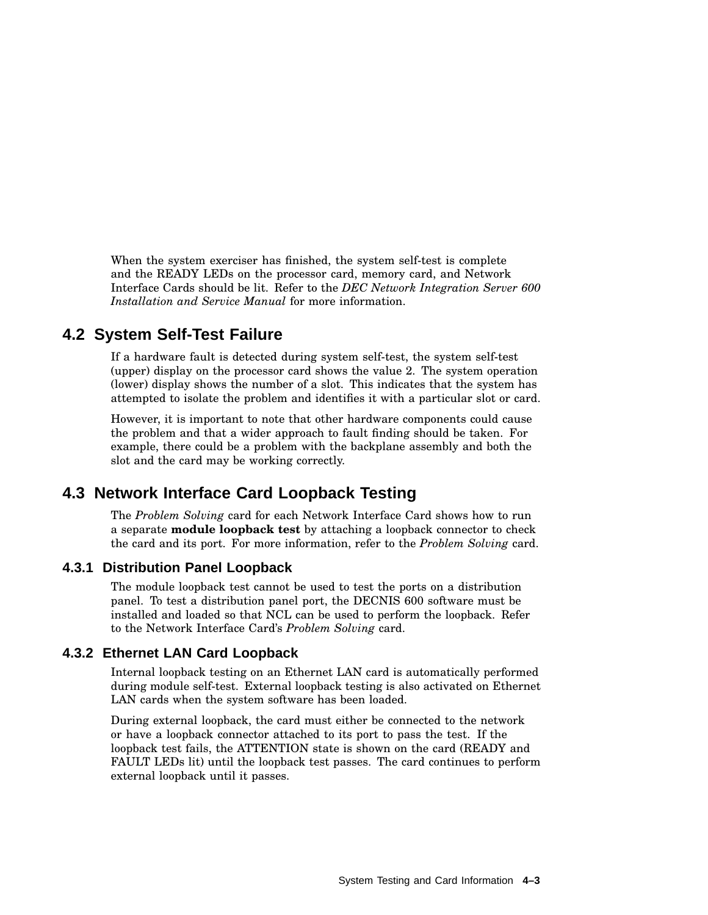When the system exerciser has finished, the system self-test is complete and the READY LEDs on the processor card, memory card, and Network Interface Cards should be lit. Refer to the *DEC Network Integration Server 600 Installation and Service Manual* for more information.

## **4.2 System Self-Test Failure**

If a hardware fault is detected during system self-test, the system self-test (upper) display on the processor card shows the value 2. The system operation (lower) display shows the number of a slot. This indicates that the system has attempted to isolate the problem and identifies it with a particular slot or card.

However, it is important to note that other hardware components could cause the problem and that a wider approach to fault finding should be taken. For example, there could be a problem with the backplane assembly and both the slot and the card may be working correctly.

## **4.3 Network Interface Card Loopback Testing**

The *Problem Solving* card for each Network Interface Card shows how to run a separate **module loopback test** by attaching a loopback connector to check the card and its port. For more information, refer to the *Problem Solving* card.

#### **4.3.1 Distribution Panel Loopback**

The module loopback test cannot be used to test the ports on a distribution panel. To test a distribution panel port, the DECNIS 600 software must be installed and loaded so that NCL can be used to perform the loopback. Refer to the Network Interface Card's *Problem Solving* card.

#### **4.3.2 Ethernet LAN Card Loopback**

Internal loopback testing on an Ethernet LAN card is automatically performed during module self-test. External loopback testing is also activated on Ethernet LAN cards when the system software has been loaded.

During external loopback, the card must either be connected to the network or have a loopback connector attached to its port to pass the test. If the loopback test fails, the ATTENTION state is shown on the card (READY and FAULT LEDs lit) until the loopback test passes. The card continues to perform external loopback until it passes.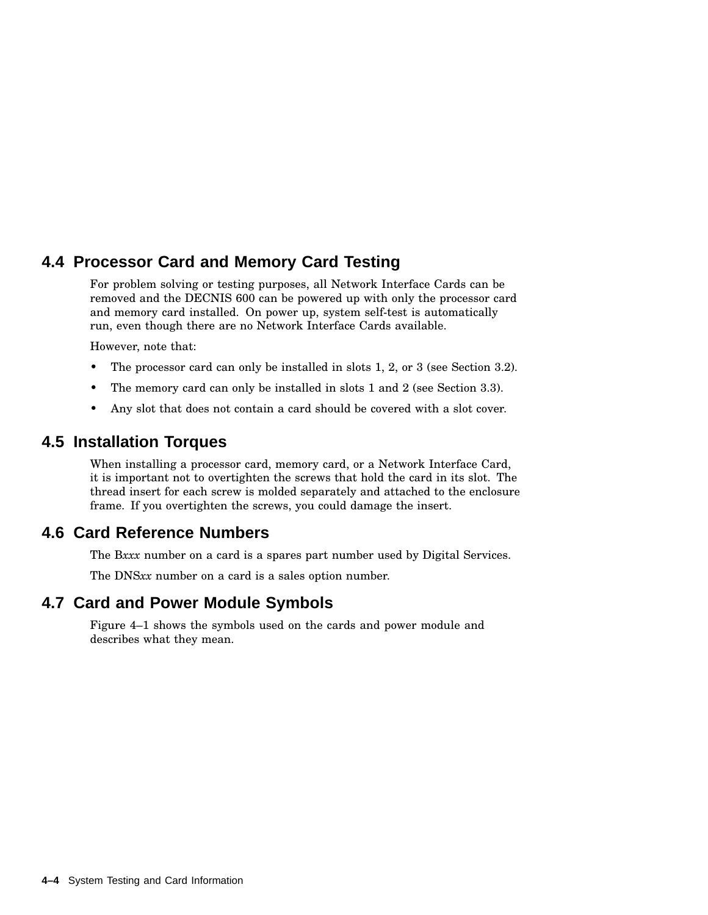# **4.4 Processor Card and Memory Card Testing**

For problem solving or testing purposes, all Network Interface Cards can be removed and the DECNIS 600 can be powered up with only the processor card and memory card installed. On power up, system self-test is automatically run, even though there are no Network Interface Cards available.

However, note that:

- The processor card can only be installed in slots 1, 2, or 3 (see Section 3.2).
- The memory card can only be installed in slots 1 and 2 (see Section 3.3).
- Any slot that does not contain a card should be covered with a slot cover.

#### **4.5 Installation Torques**

When installing a processor card, memory card, or a Network Interface Card, it is important not to overtighten the screws that hold the card in its slot. The thread insert for each screw is molded separately and attached to the enclosure frame. If you overtighten the screws, you could damage the insert.

## **4.6 Card Reference Numbers**

The B*xxx* number on a card is a spares part number used by Digital Services.

The DNS*xx* number on a card is a sales option number.

#### **4.7 Card and Power Module Symbols**

Figure 4–1 shows the symbols used on the cards and power module and describes what they mean.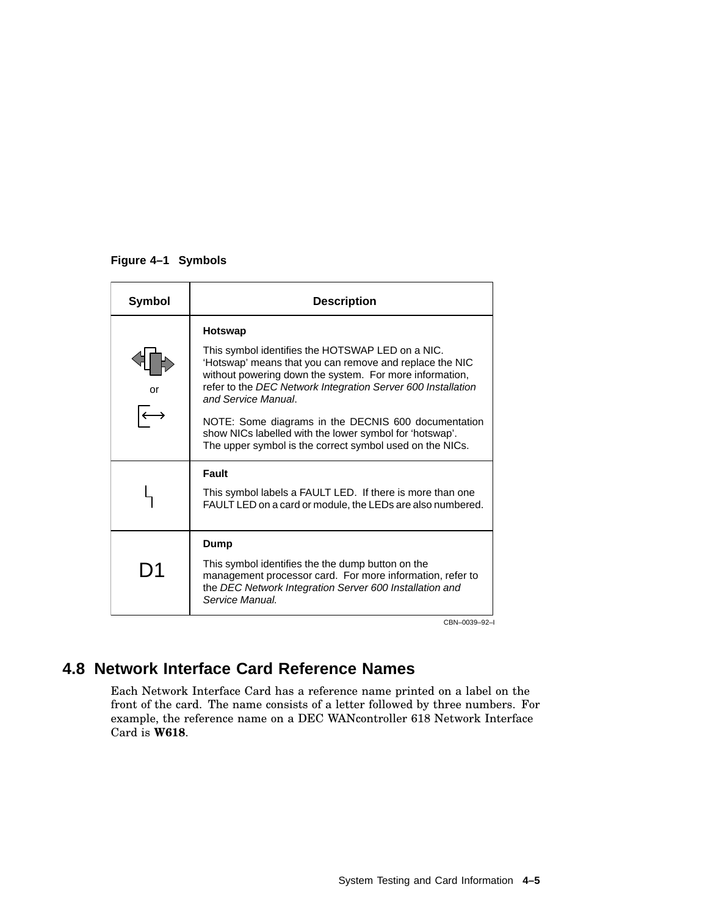#### **Figure 4–1 Symbols**

| <b>Symbol</b> | <b>Description</b>                                                                                                                                                                                                                                                       |
|---------------|--------------------------------------------------------------------------------------------------------------------------------------------------------------------------------------------------------------------------------------------------------------------------|
| or            | Hotswap<br>This symbol identifies the HOTSWAP LED on a NIC.<br>'Hotswap' means that you can remove and replace the NIC<br>without powering down the system. For more information,<br>refer to the DEC Network Integration Server 600 Installation<br>and Service Manual. |
|               | NOTE: Some diagrams in the DECNIS 600 documentation<br>show NICs labelled with the lower symbol for 'hotswap'.<br>The upper symbol is the correct symbol used on the NICs.                                                                                               |
|               | Fault<br>This symbol labels a FAULT LED. If there is more than one<br>FAULT LED on a card or module, the LEDs are also numbered.                                                                                                                                         |
| D1            | Dump<br>This symbol identifies the the dump button on the<br>management processor card. For more information, refer to<br>the DEC Network Integration Server 600 Installation and<br>Service Manual.                                                                     |

CBN–0039–92–I

# **4.8 Network Interface Card Reference Names**

Each Network Interface Card has a reference name printed on a label on the front of the card. The name consists of a letter followed by three numbers. For example, the reference name on a DEC WANcontroller 618 Network Interface Card is **W618**.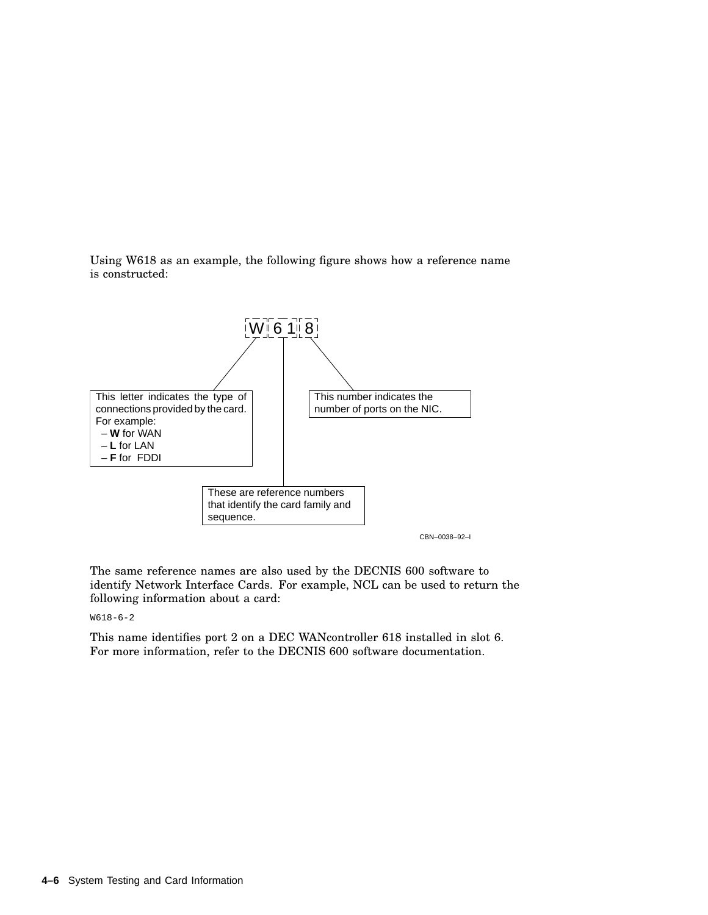Using W618 as an example, the following figure shows how a reference name is constructed:



The same reference names are also used by the DECNIS 600 software to identify Network Interface Cards. For example, NCL can be used to return the following information about a card:

W618-6-2

This name identifies port 2 on a DEC WANcontroller 618 installed in slot 6. For more information, refer to the DECNIS 600 software documentation.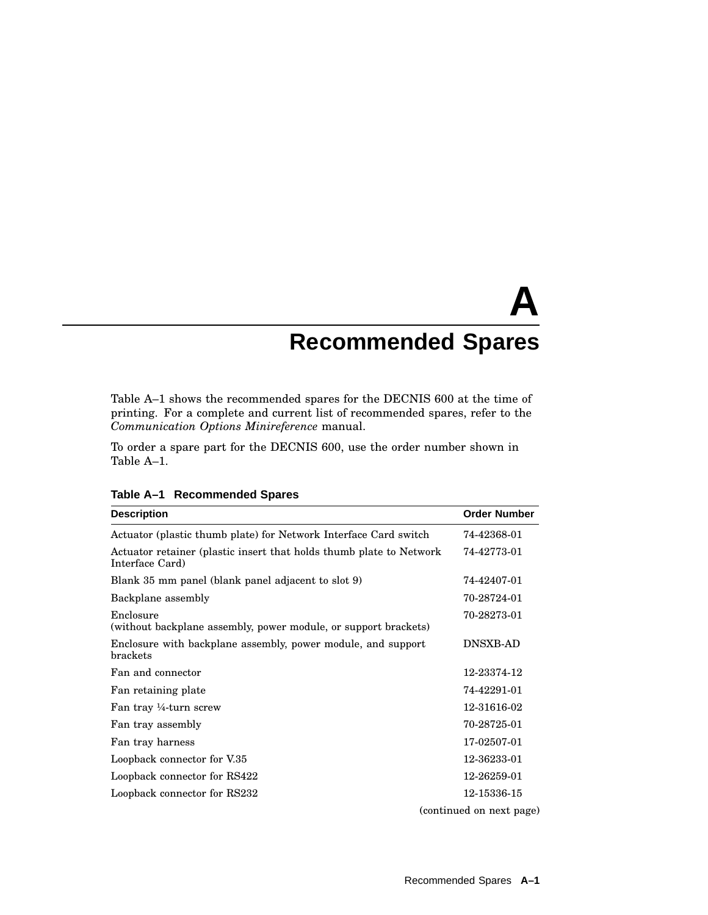# **A Recommended Spares**

Table A–1 shows the recommended spares for the DECNIS 600 at the time of printing. For a complete and current list of recommended spares, refer to the *Communication Options Minireference* manual.

To order a spare part for the DECNIS 600, use the order number shown in Table A–1.

| <b>Description</b>                                                                     | <b>Order Number</b>      |
|----------------------------------------------------------------------------------------|--------------------------|
| Actuator (plastic thumb plate) for Network Interface Card switch                       | 74-42368-01              |
| Actuator retainer (plastic insert that holds thumb plate to Network<br>Interface Card) | 74-42773-01              |
| Blank 35 mm panel (blank panel adjacent to slot 9)                                     | 74-42407-01              |
| Backplane assembly                                                                     | 70-28724-01              |
| Enclosure<br>(without backplane assembly, power module, or support brackets)           | 70-28273-01              |
| Enclosure with backplane assembly, power module, and support<br>brackets               | <b>DNSXB-AD</b>          |
| Fan and connector                                                                      | 12-23374-12              |
| Fan retaining plate                                                                    | 74-42291-01              |
| Fan tray ¼-turn screw                                                                  | 12-31616-02              |
| Fan tray assembly                                                                      | 70-28725-01              |
| Fan tray harness                                                                       | 17-02507-01              |
| Loopback connector for V.35                                                            | 12-36233-01              |
| Loopback connector for RS422                                                           | 12-26259-01              |
| Loopback connector for RS232                                                           | 12-15336-15              |
|                                                                                        | (continued on next page) |

**Table A–1 Recommended Spares**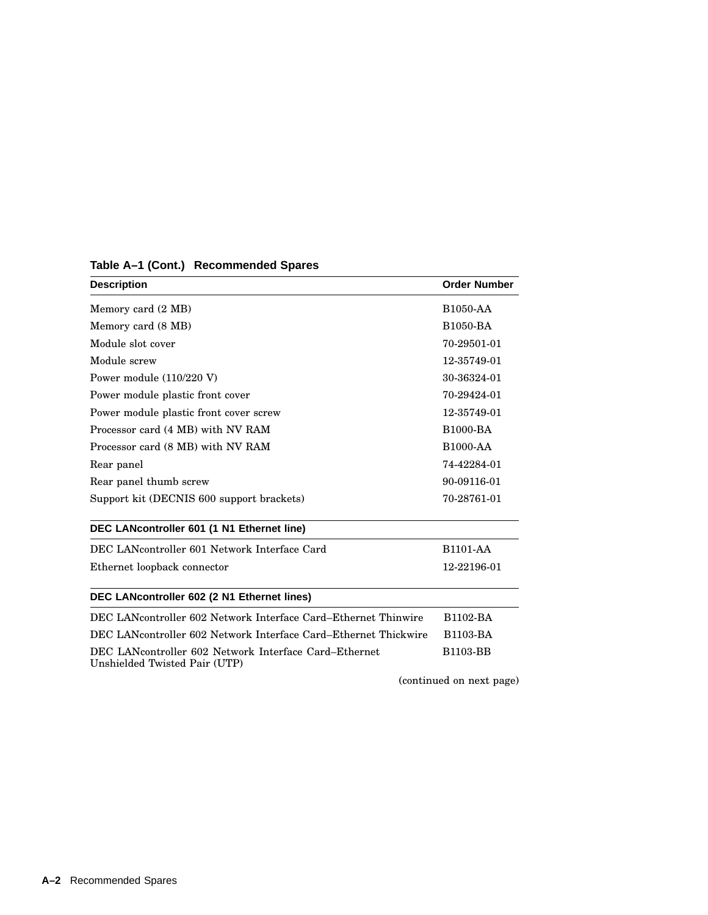| <b>Description</b>                                                                     | <b>Order Number</b> |  |
|----------------------------------------------------------------------------------------|---------------------|--|
| Memory card (2 MB)                                                                     | <b>B1050-AA</b>     |  |
| Memory card (8 MB)                                                                     | <b>B1050-BA</b>     |  |
| Module slot cover                                                                      | 70-29501-01         |  |
| Module screw                                                                           | 12-35749-01         |  |
| Power module $(110/220 V)$                                                             | 30-36324-01         |  |
| Power module plastic front cover                                                       | 70-29424-01         |  |
| Power module plastic front cover screw                                                 | 12-35749-01         |  |
| Processor card (4 MB) with NV RAM                                                      | <b>B1000-BA</b>     |  |
| Processor card (8 MB) with NV RAM                                                      | <b>B1000-AA</b>     |  |
| Rear panel                                                                             | 74-42284-01         |  |
| Rear panel thumb screw                                                                 | 90-09116-01         |  |
| Support kit (DECNIS 600 support brackets)                                              | 70-28761-01         |  |
| DEC LANcontroller 601 (1 N1 Ethernet line)                                             |                     |  |
| DEC LANcontroller 601 Network Interface Card                                           | <b>B1101-AA</b>     |  |
| Ethernet loopback connector                                                            | 12-22196-01         |  |
| DEC LANcontroller 602 (2 N1 Ethernet lines)                                            |                     |  |
| DEC LANcontroller 602 Network Interface Card–Ethernet Thinwire                         | <b>B1102-BA</b>     |  |
| DEC LANcontroller 602 Network Interface Card–Ethernet Thickwire                        | <b>B1103-BA</b>     |  |
| DEC LANcontroller 602 Network Interface Card–Ethernet<br>Unshielded Twisted Pair (UTP) | <b>B1103-BB</b>     |  |

# **Table A–1 (Cont.) Recommended Spares**

(continued on next page)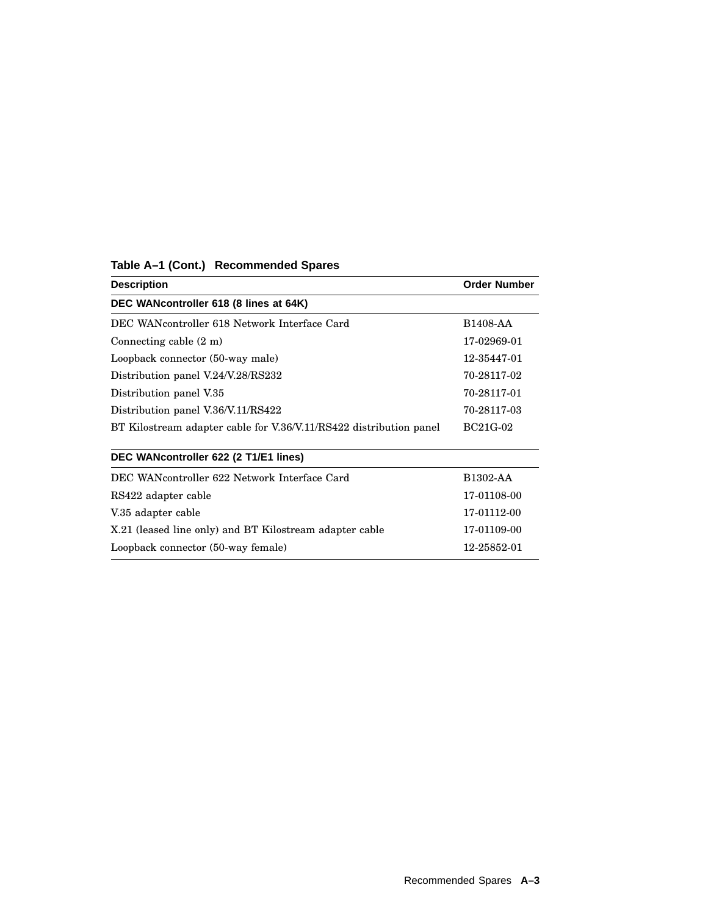| <b>Description</b>                                                 | <b>Order Number</b> |  |
|--------------------------------------------------------------------|---------------------|--|
| DEC WANcontroller 618 (8 lines at 64K)                             |                     |  |
| DEC WANcontroller 618 Network Interface Card                       | B1408-AA            |  |
| Connecting cable $(2 \text{ m})$                                   | 17-02969-01         |  |
| Loopback connector (50-way male)                                   | 12-35447-01         |  |
| Distribution panel V.24/V.28/RS232                                 | 70-28117-02         |  |
| Distribution panel V.35                                            | 70-28117-01         |  |
| Distribution panel V.36/V.11/RS422                                 | 70-28117-03         |  |
| BT Kilostream adapter cable for V.36/V.11/RS422 distribution panel | BC21G-02            |  |
| DEC WANcontroller 622 (2 T1/E1 lines)                              |                     |  |
| DEC WANcontroller 622 Network Interface Card                       | B1302-AA            |  |
| RS422 adapter cable                                                | 17-01108-00         |  |
| V.35 adapter cable                                                 | 17-01112-00         |  |
| X.21 (leased line only) and BT Kilostream adapter cable            | 17-01109-00         |  |
| Loopback connector (50-way female)                                 | 12-25852-01         |  |
|                                                                    |                     |  |

#### **Table A–1 (Cont.) Recommended Spares**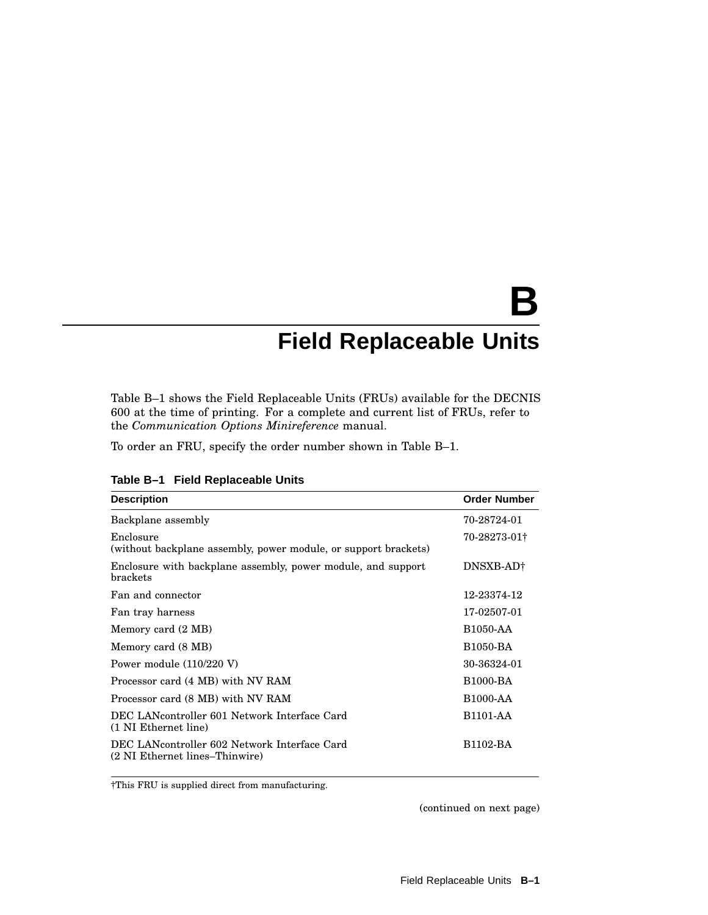# **B Field Replaceable Units**

Table B–1 shows the Field Replaceable Units (FRUs) available for the DECNIS 600 at the time of printing. For a complete and current list of FRUs, refer to the *Communication Options Minireference* manual.

To order an FRU, specify the order number shown in Table B–1.

| <b>Description</b>                                                             | <b>Order Number</b>   |
|--------------------------------------------------------------------------------|-----------------------|
| Backplane assembly                                                             | 70-28724-01           |
| Enclosure<br>(without backplane assembly, power module, or support brackets)   | 70-28273-01†          |
| Enclosure with backplane assembly, power module, and support<br>brackets       | DNSXB-AD†             |
| Fan and connector                                                              | 12-23374-12           |
| Fan tray harness                                                               | 17-02507-01           |
| Memory card (2 MB)                                                             | <b>B1050-AA</b>       |
| Memory card (8 MB)                                                             | <b>B1050-BA</b>       |
| Power module $(110/220 V)$                                                     | 30-36324-01           |
| Processor card (4 MB) with NV RAM                                              | <b>B1000-BA</b>       |
| Processor card (8 MB) with NV RAM                                              | <b>B1000-AA</b>       |
| DEC LANcontroller 601 Network Interface Card<br>(1 NI Ethernet line)           | B <sub>1101</sub> -AA |
| DEC LANcontroller 602 Network Interface Card<br>(2 NI Ethernet lines–Thinwire) | B <sub>1102</sub> -BA |

**Table B–1 Field Replaceable Units**

†This FRU is supplied direct from manufacturing.

(continued on next page)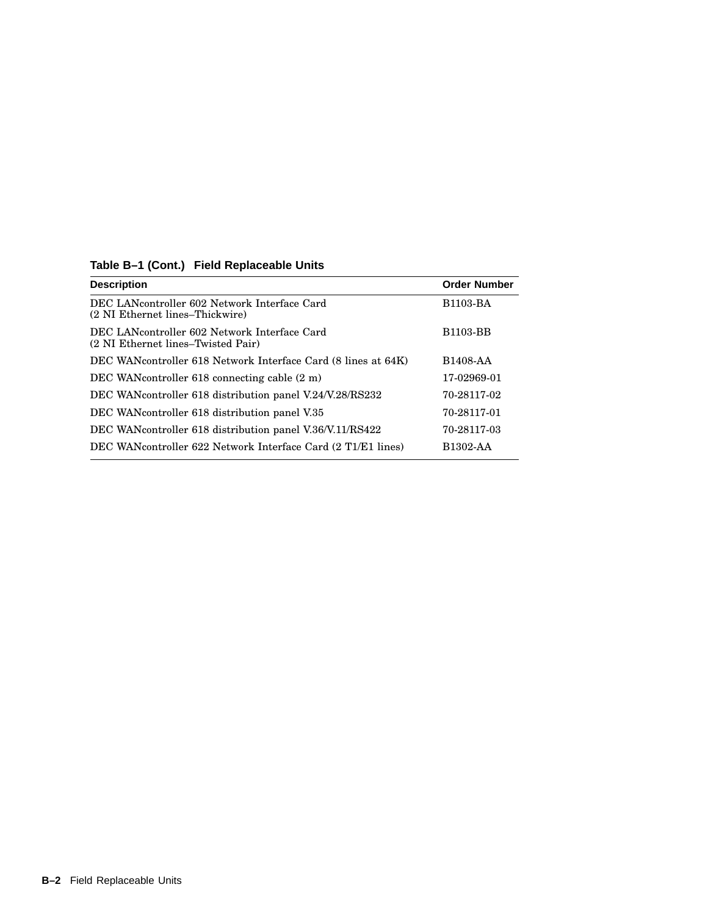| <b>Description</b>                                                                 | <b>Order Number</b>   |
|------------------------------------------------------------------------------------|-----------------------|
| DEC LANcontroller 602 Network Interface Card<br>(2 NI Ethernet lines–Thickwire)    | <b>B1103-BA</b>       |
| DEC LANcontroller 602 Network Interface Card<br>(2 NI Ethernet lines–Twisted Pair) | <b>B1103-BB</b>       |
| DEC WANcontroller 618 Network Interface Card (8 lines at 64K)                      | B <sub>1408</sub> -AA |
| DEC WAN controller 618 connecting cable $(2 \text{ m})$                            | 17-02969-01           |
| DEC WAN controller 618 distribution panel V.24/V.28/RS232                          | 70-28117-02           |
| DEC WANcontroller 618 distribution panel V.35                                      | 70-28117-01           |
| DEC WAN controller 618 distribution panel V.36/V.11/RS422                          | 70-28117-03           |
| DEC WANcontroller 622 Network Interface Card (2 T1/E1 lines)                       | B1302-AA              |

## **Table B–1 (Cont.) Field Replaceable Units**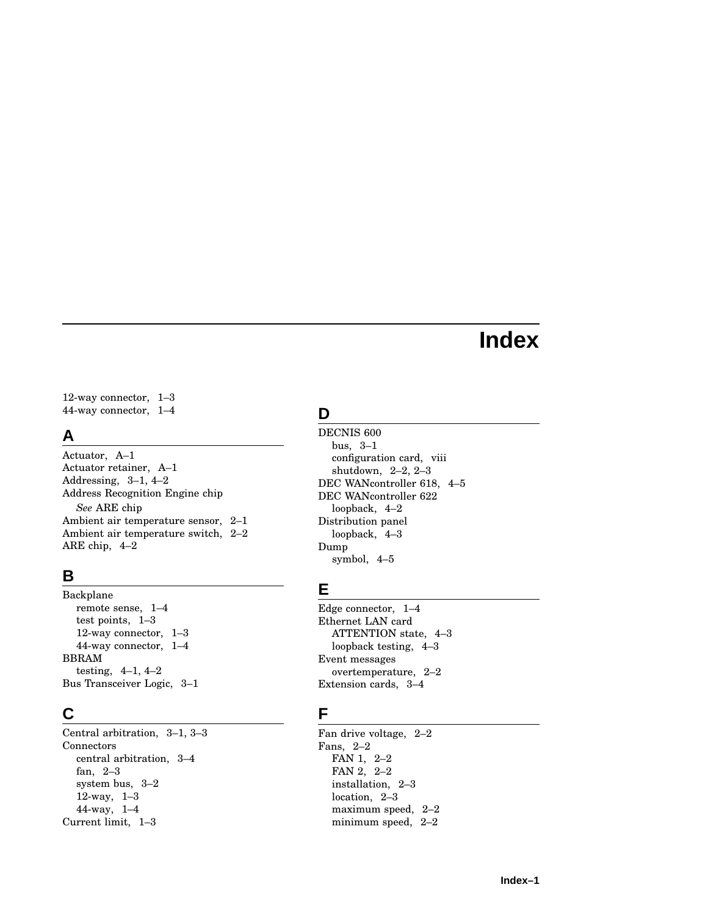# **Index**

12-way connector, 1–3 44-way connector, 1–4

### **A**

Actuator, A–1 Actuator retainer, A–1 Addressing, 3–1, 4–2 Address Recognition Engine chip *See* ARE chip Ambient air temperature sensor, 2–1 Ambient air temperature switch, 2–2 ARE chip, 4–2

### **B**

Backplane remote sense, 1–4 test points, 1–3 12-way connector, 1–3 44-way connector, 1–4 BBRAM testing, 4–1, 4–2 Bus Transceiver Logic, 3–1

# **C**

Central arbitration, 3–1, 3–3 Connectors central arbitration, 3–4 fan, 2–3 system bus, 3–2 12-way, 1–3 44-way, 1–4 Current limit, 1–3

# **D**

DECNIS 600 bus, 3–1 configuration card, viii shutdown, 2–2, 2–3 DEC WANcontroller 618, 4–5 DEC WANcontroller 622 loopback, 4–2 Distribution panel loopback, 4–3 Dump symbol, 4–5

# **E**

Edge connector, 1–4 Ethernet LAN card ATTENTION state, 4–3 loopback testing, 4–3 Event messages overtemperature, 2–2 Extension cards, 3–4

## **F**

Fan drive voltage, 2–2 Fans, 2–2 FAN 1, 2–2 FAN 2, 2–2 installation, 2–3 location, 2–3 maximum speed, 2–2 minimum speed, 2–2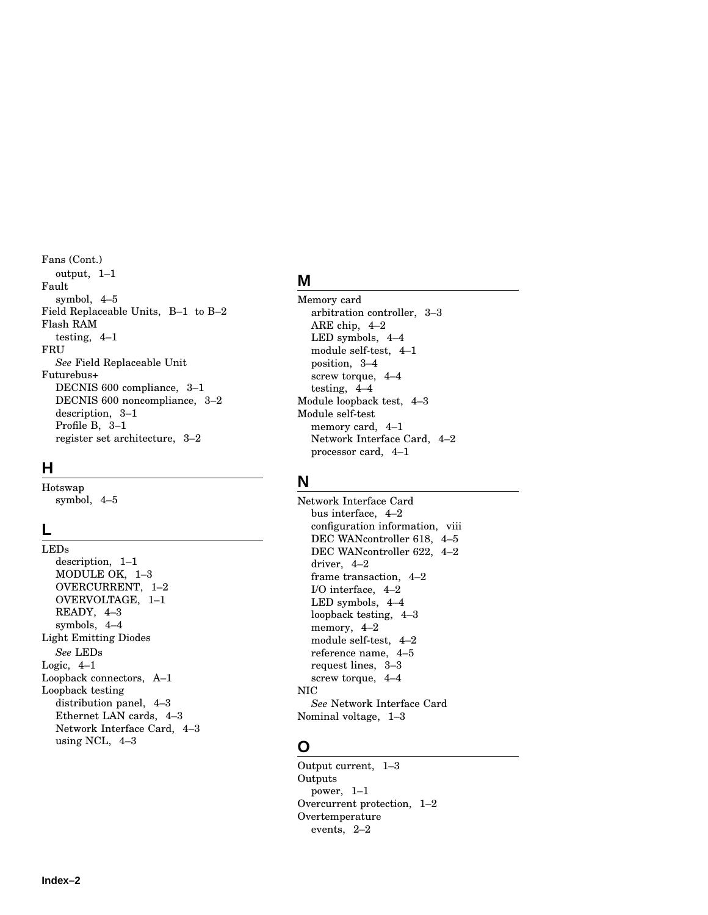Fans (Cont.) output, 1–1 Fault symbol, 4–5 Field Replaceable Units, B–1 to B–2 Flash RAM testing, 4–1 FRU *See* Field Replaceable Unit Futurebus+ DECNIS 600 compliance, 3–1 DECNIS 600 noncompliance, 3–2 description, 3–1 Profile B, 3–1 register set architecture, 3–2

#### **H**

Hotswap symbol, 4–5

### **L**

LEDs description, 1–1 MODULE OK, 1–3 OVERCURRENT, 1–2 OVERVOLTAGE, 1–1 READY, 4–3 symbols, 4–4 Light Emitting Diodes *See* LEDs Logic, 4–1 Loopback connectors, A–1 Loopback testing distribution panel, 4–3 Ethernet LAN cards, 4–3 Network Interface Card, 4–3 using NCL, 4–3

## **M**

Memory card arbitration controller, 3–3 ARE chip, 4–2 LED symbols, 4–4 module self-test, 4–1 position, 3–4 screw torque, 4–4 testing, 4–4 Module loopback test, 4–3 Module self-test memory card, 4–1 Network Interface Card, 4–2 processor card, 4–1

## **N**

Network Interface Card bus interface, 4–2 configuration information, viii DEC WANcontroller 618, 4–5 DEC WANcontroller 622, 4–2 driver, 4–2 frame transaction, 4–2 I/O interface, 4–2 LED symbols, 4–4 loopback testing, 4–3 memory, 4–2 module self-test, 4–2 reference name, 4–5 request lines, 3–3 screw torque, 4–4 NIC *See* Network Interface Card Nominal voltage, 1–3

## **O**

Output current, 1–3 **Outputs** power, 1–1 Overcurrent protection, 1–2 Overtemperature events, 2–2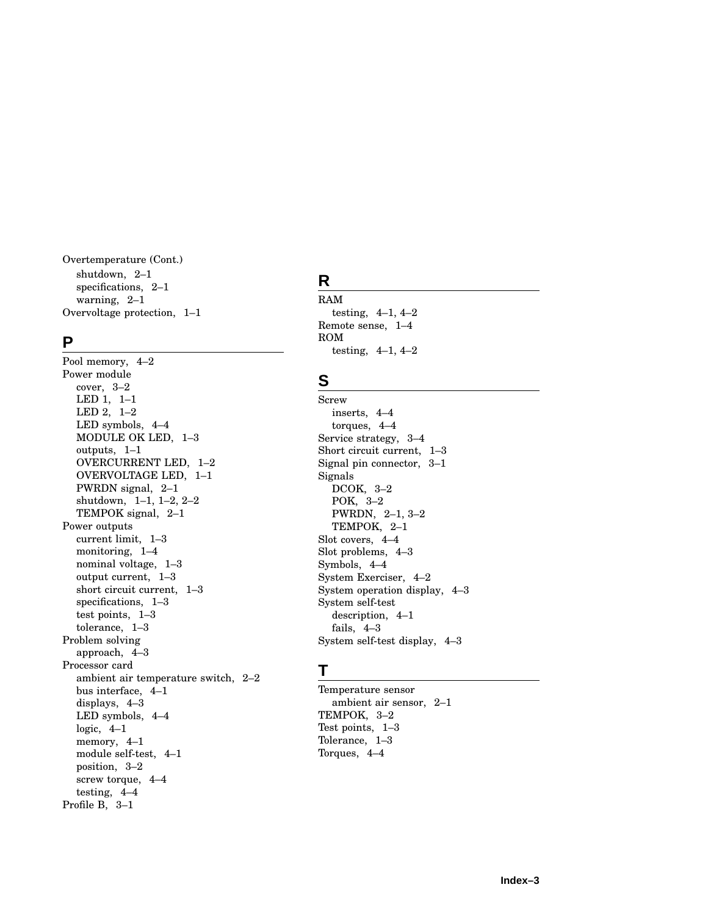Overtemperature (Cont.) shutdown, 2–1 specifications, 2–1 warning, 2–1 Overvoltage protection, 1–1

#### **P**

Pool memory, 4–2 Power module cover, 3–2 LED 1, 1–1 LED 2, 1–2 LED symbols, 4–4 MODULE OK LED, 1–3 outputs, 1–1 OVERCURRENT LED, 1–2 OVERVOLTAGE LED, 1–1 PWRDN signal, 2–1 shutdown, 1–1, 1–2, 2–2 TEMPOK signal, 2–1 Power outputs current limit, 1–3 monitoring, 1–4 nominal voltage, 1–3 output current, 1–3 short circuit current, 1–3 specifications, 1–3 test points, 1–3 tolerance, 1–3 Problem solving approach, 4–3 Processor card ambient air temperature switch, 2–2 bus interface, 4–1 displays, 4–3 LED symbols, 4–4 logic,  $4-1$ memory, 4–1 module self-test, 4–1 position, 3–2 screw torque, 4–4 testing, 4–4 Profile B, 3–1

# **R**

RAM testing, 4–1, 4–2 Remote sense, 1–4 ROM testing, 4–1, 4–2

# **S**

Screw inserts, 4–4 torques, 4–4 Service strategy, 3–4 Short circuit current, 1–3 Signal pin connector, 3–1 Signals DCOK, 3–2 POK, 3–2 PWRDN, 2–1, 3–2 TEMPOK, 2–1 Slot covers, 4–4 Slot problems, 4–3 Symbols, 4–4 System Exerciser, 4–2 System operation display, 4–3 System self-test description, 4–1 fails, 4–3 System self-test display, 4–3

# **T**

Temperature sensor ambient air sensor, 2–1 TEMPOK, 3–2 Test points, 1–3 Tolerance, 1–3 Torques, 4–4